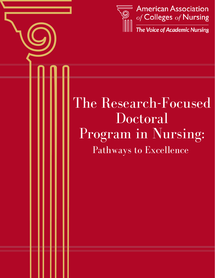

# The Research-Focused Doctoral Program in Nursing: Pathways to Excellence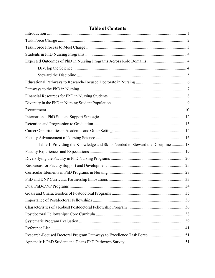| Expected Outcomes of PhD in Nursing Programs Across Role Domains  4              |  |  |  |
|----------------------------------------------------------------------------------|--|--|--|
|                                                                                  |  |  |  |
|                                                                                  |  |  |  |
|                                                                                  |  |  |  |
|                                                                                  |  |  |  |
|                                                                                  |  |  |  |
|                                                                                  |  |  |  |
|                                                                                  |  |  |  |
|                                                                                  |  |  |  |
|                                                                                  |  |  |  |
|                                                                                  |  |  |  |
|                                                                                  |  |  |  |
| Table 1. Providing the Knowledge and Skills Needed to Steward the Discipline  18 |  |  |  |
|                                                                                  |  |  |  |
|                                                                                  |  |  |  |
|                                                                                  |  |  |  |
|                                                                                  |  |  |  |
|                                                                                  |  |  |  |
| 34                                                                               |  |  |  |
|                                                                                  |  |  |  |
|                                                                                  |  |  |  |
|                                                                                  |  |  |  |
|                                                                                  |  |  |  |
|                                                                                  |  |  |  |
|                                                                                  |  |  |  |
|                                                                                  |  |  |  |
|                                                                                  |  |  |  |

# **Table of Contents**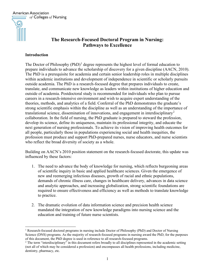**American Association**  $\equiv$  of Colleges of Nursing



# **The Research-Focused Doctoral Program in Nursing: Pathways to Excellence**

### **Introduction**

The Doctor of Philosophy  $(PhD)^1$  $(PhD)^1$  degree represents the highest level of formal education to prepare individuals to advance the scholarship of discovery for a given discipline (AACN, 2010). The PhD is a prerequisite for academia and certain senior leadership roles in multiple disciplines within academic institutions and development of independence in scientific or scholarly pursuits outside academia. The PhD is a research-focused degree that prepares individuals to create, translate, and communicate new knowledge as leaders within institutions of higher education and outside of academia. Postdoctoral study is recommended for individuals who plan to pursue careers in a research-intensive environment and wish to acquire expert understanding of the theories, methods, and analytics of a field. Conferral of the PhD demonstrates the graduate's strong scientific emphasis within the discipline as well as an understanding of the importance of translational science, dissemination of innovations, and engagement in interdisciplinary<sup>[2](#page-2-1)</sup> collaboration. In the field of nursing, the PhD graduate is prepared to steward the profession, develop its science, define its uniqueness, maintain its professional integrity, and educate the next generation of nursing professionals. To achieve its vision of improving health outcomes for all people, particularly those in populations experiencing social and health inequities, the profession must produce and support PhD-prepared nurses, nurse educators, and nurse scientists who reflect the broad diversity of society as a whole.

Building on AACN's 2010 position statement on the research-focused doctorate, this update was influenced by these factors:

- 1. The need to advance the body of knowledge for nursing, which reflects burgeoning areas of scientific inquiry in basic and applied healthcare sciences. Given the emergence of new and reemerging infectious diseases, growth of racial and ethnic populations, demands of chronic illness care, changes in healthcare delivery, advances in data science and analytic approaches, and increasing globalization, strong scientific foundations are required to ensure effectiveness and efficiency as well as methods to translate knowledge to practice.
- 2. The dramatic evolution of data information science and precision health science mandated the integration of new knowledge paradigms into nursing science and the education and training of future nurse scientists.

<span id="page-2-0"></span><sup>1</sup> Research-focused doctoral programs in nursing include Doctor of Philosophy (PhD) and Doctor of Nursing Science (DNS) programs. As the majority of research-focused programs in nursing award the PhD, for the purposes of this document, the PhD degree is used in reference to all research-focused programs.

<span id="page-2-1"></span><sup>&</sup>lt;sup>2</sup> The term "interdisciplinary" in this document refers broadly to all disciplines represented in the academic setting (not all of which may be considered a profession) and encompasses all health professions, including medicine, dentistry, pharmacy, etc.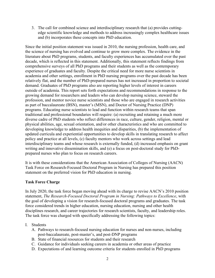3. The call for combined science and interdisciplinary research that (a) provides cuttingedge scientific knowledge and methods to address increasingly complex healthcare issues and (b) incorporates these concepts into PhD education.

Since the initial position statement was issued in 2010, the nursing profession, health care, and the science of nursing has evolved and continue to grow more complex. The evidence in the literature about PhD programs, students, and faculty experiences has accumulated over the past decade, which is reflected in this statement. Additionally, this statement reflects findings from comprehensive surveys of all PhD programs and their students as well as the contemporary experience of graduates and faculty. Despite the critical need for more nurse scientists in academia and other settings, enrollment in PhD nursing programs over the past decade has been relatively flat, and the number of PhD-prepared nurses has not increased in proportion to societal demand. Graduates of PhD programs also are reporting higher levels of interest in careers outside of academia. This report sets forth expectations and recommendations in response to the growing demand for researchers and leaders who can develop nursing science, steward the profession, and mentor novice nurse scientists and those who are engaged in research activities as part of baccalaureate (BSN), master's (MSN), and Doctor of Nursing Practice (DNP) programs. Educating nurse scientists to lead and function within research teams that span traditional and professional boundaries will require: (a) recruiting and retaining a much more diverse cadre of PhD students who reflect differences in race, culture, gender, religion, mental or physical abilities, age, sexual orientation, and/or other characteristics and who are committed to developing knowledge to address health inequities and disparities, (b) the implementation of updated curricula and experiential opportunities to develop skills in translating research to affect policy and practice at all levels, (c) faculty mentors who work across settings and lead interdisciplinary teams and whose research is externally funded, (d) increased emphasis on grant writing and innovative dissemination skills, and (e) a focus on post-doctoral study for PhDprepared nurses who plan to focus on research careers.

It is with these considerations that the American Association of Colleges of Nursing (AACN) Task Force on Research-Focused Doctoral Program in Nursing has prepared this position statement on the preferred vision for PhD education in nursing.

### **Task Force Charge**

In July 2020, the task force began moving ahead with its charge to revise AACN's 2010 position statement, *The Research-Focused Doctoral Program in Nursing: Pathways to Excellence*, with the goal of developing a vision for research-focused doctoral programs and graduates. The task force considered trends in higher education, nursing education, nursing and other health disciplines research, and career trajectories for research scientists, faculty, and leadership roles. The task force was charged with specifically addressing the following topics:

- I. Students
	- A. Pathways to research-focused nursing education for nurses and non-nurses, including post-baccalaureate, post-master's, and post-DNP programs
	- B. State of financial resources for students and their research
	- C. Guidance for individuals seeking careers in academia or other areas of practice
	- D. Expectations of and learning outcome criteria for students enrolled in PhD programs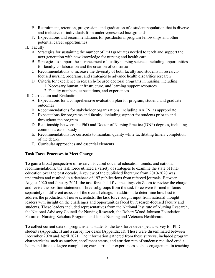- E. Recruitment, retention, progression, and graduation of a student population that is diverse and inclusive of individuals from underrepresented backgrounds
- F. Expectations and recommendations for postdoctoral program fellowships and other potential career opportunities
- II. Faculty
	- A. Strategies for sustaining the number of PhD graduates needed to teach and support the next generation with new knowledge for nursing and health care
	- B. Strategies to support the advancement of quality nursing science, including opportunities for faculty collaboration and the creation of consortia
	- C. Recommendations to increase the diversity of both faculty and students in researchfocused nursing programs, and strategies to advance health disparities research
	- D. Criteria for excellence in research-focused doctoral programs in nursing, including:
		- 1. Necessary human, infrastructure, and learning support resources
		- 2. Faculty numbers, expectations, and experiences
- III. Curriculum and Evaluation
	- A. Expectations for a comprehensive evaluation plan for program, student, and graduate outcomes
	- B. Recommendations for stakeholder organizations, including AACN, as appropriate
	- C. Expectations for programs and faculty, including support for students prior to and throughout the program
	- D. Relationship between the PhD and Doctor of Nursing Practice (DNP) degrees, including common areas of study
	- E. Recommendations for curricula to maintain quality while facilitating timely completion of the degree
	- F. Curricular approaches and essential elements

## **Task Force Processes to Meet Charge**

To gain a broad perspective of research-focused doctoral education, trends, and national recommendations, the task force utilized a variety of strategies to examine the state of PhD education over the past decade. A review of the published literature from 2010-2020 was undertaken and resulted in a database of 197 publications from refereed journals. Between August 2020 and January 2021, the task force held five meetings via Zoom to review the charge and revise the position statement. Three subgroups from the task force were formed to focus separately on different aspects of the overall charge. In addition, to determine how best to address the production of nurse scientists, the task force sought input from national thought leaders with insight on the challenges and opportunities faced by research-focused faculty and students. These leaders included representatives from the National Institute of Nursing Research, the National Advisory Council for Nursing Research, the Robert Wood Johnson Foundation Future of Nursing Scholars Program, and Jonas Nursing and Veterans Healthcare.

To collect current data on programs and students, the task force developed a survey for PhD students (Appendix I) and a survey for deans (Appendix II). These were disseminated between December 2020 and April 2021. The information gathered from these surveys, included program characteristics such as number, enrollment status, and attrition rate of students; required credit hours and time to degree completion; extracurricular experiences such as engagement in teaching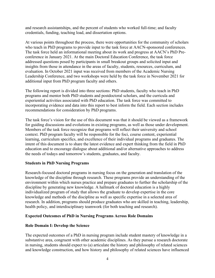and research assistantships, and the percent of students who worked full-time; and faculty credentials, funding, teaching load, and dissertation options.

At various points throughout the process, there were opportunities for the community of scholars who teach in PhD programs to provide input to the task force at AACN-sponsored conferences. The task force held an informational meeting about its work and progress at AACN's PhD Preconference in January 2021. At the main Doctoral Education Conference, the task force addressed questions posed by participants in small breakout groups and solicited input and insights from those in attendance in the areas of faculty, students, resources, curriculum, and evaluation. In October 2021 input was received from members of the Academic Nursing Leadership Conference, and two workshops were held by the task force in November 2021 for additional input from PhD program faculty and others.

The following report is divided into three sections: PhD students, faculty who teach in PhD programs and mentor both PhD students and postdoctoral scholars, and the curricula and experiential activities associated with PhD education. The task force was committed to incorporating evidence and data into this report to best inform the field. Each section includes recommendations for consideration by PhD programs.

The task force's vision for the use of this document was that it should be viewed as a framework for guiding discussions and evolutions in existing programs, as well as those under development. Members of the task force recognize that programs will reflect their university and school context. PhD program faculty will be responsible for the foci, course content, experiential learning, curriculum specifics, and excellence of their individual programs and graduates. The intent of this document is to share the latest evidence and expert thinking from the field in PhD education and to encourage dialogue about additional and/or alternative approaches to address the needs of todays and tomorrow's students, graduates, and faculty.

### **Students in PhD Nursing Programs**

Research-focused doctoral programs in nursing focus on the generation and translation of the knowledge of the discipline through research. These programs provide an understanding of the environment within which nurses practice and prepare graduates to further the scholarship of the discipline by generating new knowledge. A hallmark of doctoral education is a highly individualized program of study that allows the graduate to develop expertise in the core knowledge and methods of the discipline as well as specific expertise in a selected area of research. In addition, programs should produce graduates who are skilled in teaching, leadership, health policy, and interdisciplinary teamwork (for both teaching and research).

### **Expected Outcomes of PhD in Nursing Programs Across Role Domains**

### **Role Domain I: Develop the Science**

The expected outcomes of a PhD in nursing program include student mastery of knowledge in a substantive area, congruent with other academic disciplines. As they pursue a research doctorate in nursing, students should expect to (a) articulate the history and philosophy of related sciences and knowledge construction, and how history and philosophy of related sciences have influenced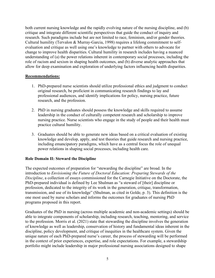both current nursing knowledge and the rapidly evolving nature of the nursing discipline, and (b) critique and integrate different scientific perspectives that guide the conduct of inquiry and research. Such paradigms include but are not limited to race, feminism, and/or gender theories. Cultural humility (Tervalon & Murray-Garcia, 1998) requires a lifelong commitment to selfevaluation and critique as well using one's knowledge to partner with others to advocate for change to improve health disparities. Cultural humility in research includes having a nuanced understanding of (a) the power relations inherent in contemporary social processes, including the role of racism and sexism in shaping health outcomes, and (b) diverse analytic approaches that allow for deep examination and exploration of underlying factors influencing health disparities.

### **Recommendations:**

- 1. PhD-prepared nurse scientists should utilize professional ethics and judgment to conduct original research, be proficient in communicating research findings to lay and professional audiences, and identify implications for policy, nursing practice, future research, and the profession.
- 2. PhD in nursing graduates should possess the knowledge and skills required to assume leadership in the conduct of culturally competent research and scholarship to improve nursing practice. Nurse scientists who engage in the study of people and their health must practice cultural humility.
- 3. Graduates should be able to generate new ideas based on a critical evaluation of existing knowledge and develop, apply, and test theories that guide research and nursing practice, including emancipatory paradigms, which have as a central focus the role of unequal power relations in shaping social processes, including health care.

### **Role Domain II: Steward the Discipline**

The expected outcomes of preparation for "stewarding the discipline" are broad. In the introduction to *Envisioning the Future of Doctoral Education: Preparing Stewards of the Discipline*, a collection of essays commissioned for the Carnegie Initiative on the Doctorate, the PhD-prepared individual is defined by Lee Shulman as "a steward of [their] discipline or profession, dedicated to the integrity of its work in the generation, critique, transformation, transmission, and use of its knowledge" (Shulman, as cited in Golde, p. 3). This definition is the one most used by nurse scholars and informs the outcomes for graduates of nursing PhD programs proposed in this report.

Graduates of the PhD in nursing (across multiple academic and non-academic settings) should be able to integrate components of scholarship, including research, teaching, mentoring, and service to the profession. Morris et al. (2021) state that stewarding the discipline involves the generation of knowledge as well as leadership, conservation of history and fundamental ideas inherent in the discipline, policy development, and critique of inequities in the healthcare system. Given the unique nature of each PhD-prepared nurse's career, the process of stewarding will be performed in the context of prior experiences, expertise, and role expectations. For example, a stewardship portfolio might include leadership in major professional nursing associations designed to shape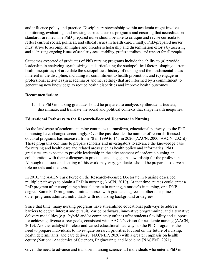and influence policy and practice. Disciplinary stewardship within academia might involve monitoring, evaluating, and revising curricula across programs and ensuring that accreditation standards are met. The PhD-prepared nurse should be able to critique and revise curricula to reflect current social, political, and ethical issues in health care. Finally, PhD-prepared nurses must strive to accomplish higher and broader scholarship and dissemination efforts by assessing and addressing ongoing issues of scholarly accountability, professionalism, and respect for all people.

Outcomes expected of graduates of PhD nursing programs include the ability to (a) provide leadership in analyzing, synthesizing, and articulating the sociopolitical factors shaping current health inequities; (b) articulate the sociopolitical history of nursing and the fundamental ideas inherent in the discipline, including its commitment to health promotion; and (c) engage in professional activities (in academia or another setting) that are informed by a commitment to generating new knowledge to reduce health disparities and improve health outcomes.

### **Recommendation:**

1. The PhD in nursing graduate should be prepared to analyze, synthesize, articulate, disseminate, and translate the social and political contexts that shape health inequities.

### **Educational Pathways to the Research-Focused Doctorate in Nursing**

As the landscape of academic nursing continues to transform, educational pathways to the PhD in nursing have changed accordingly. Over the past decade, the number of research-focused doctoral programs has increased from 78 in 1999 to 145 in 2020 (AACN, 2000; AACN, 2021d). These programs continue to prepare scholars and investigators to advance the knowledge base for nursing and health care and related areas such as health policy and informatics. PhD graduates are expected to provide leadership in the advancement of academic nursing, in collaboration with their colleagues in practice, and engage in stewardship for the profession. Although the focus and setting of this work may vary, graduates should be prepared to serve as role models and mentors.

In 2010, the AACN Task Force on the Research-Focused Doctorate in Nursing described multiple pathways to obtain a PhD in nursing (AACN, 2010). At that time, nurses could enter a PhD program after completing a baccalaureate in nursing, a master's in nursing, or a DNP degree. Some PhD programs admitted nurses with graduate degrees in other disciplines, and other programs admitted individuals with no nursing background or degrees.

Since that time, many nursing programs have streamlined educational pathways to address barriers to degree interest and pursuit. Varied pathways, innovative programming, and alternative delivery modalities (e.g., hybrid and/or completely online) offer students flexibility and support for achieving diverse career goals, consistent with AACN's vision for academic nursing (AACN, 2019). Another catalyst for clear and varied educational pathways to the PhD program is the need to prepare individuals to investigate research priorities focused on the future of nursing, health determinants, and care delivery (NACNEP, 2020) with a greater emphasis on health equity (National Academies of Sciences, Engineering, and Medicine [NASEM], 2021).

Given the need to advance and transform nursing science, all individuals who enter a PhD in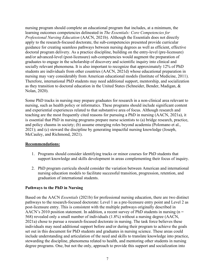nursing program should complete an educational program that includes, at a minimum, the learning outcomes competencies delineated in *The Essentials: Core Competencies for Professional Nursing Education* (AACN, 2021b). Although the Essentials does not directly apply to the research-focused doctorate, the sub-competencies presented provide curricular guidance for creating seamless pathways between nursing degrees as well as efficient, effective doctoral program delivery. As a practice discipline, building on the entry-level (pre-licensure) and/or advanced-level (post-licensure) sub-competencies would augment the preparation of graduates to engage in the scholarship of discovery and scientific inquiry into clinical and socially relevant phenomena. It is also important to recognize that approximately 12% of PhD students are individuals from other countries (AACN, 2021d) whose educational preparation in nursing may vary considerably from American educational models (Institute of Medicine, 2011). Therefore, international PhD students may need additional support, mentorship, and socialization as they transition to doctoral education in the United States (Schneider, Bender, Madigan, & Nolan, 2020).

Some PhD tracks in nursing may prepare graduates for research in a non-clinical area relevant to nursing, such as health policy or informatics. These programs should include significant content and experiential experiences related to that substantive area of focus. Although research and teaching are the most frequently cited reasons for pursuing a PhD in nursing (AACN, 2021a), it is essential that PhD in nursing programs prepare nurse scientists to (a) bridge research, practice, and policy chasms in society; (b) assume emerging roles beyond academia (Polomano et al., 2021); and (c) steward the discipline by generating impactful nursing knowledge (Joseph, McCauley, and Richmond, 2021).

### **Recommendations:**

- 1. Programs should consider identifying tracks or minor courses for PhD students that support knowledge and skills development in areas complementing their focus of inquiry.
- 2. PhD program curricula should consider the variation between American and international nursing education models to facilitate successful transition, progression, retention, and graduation of international students.

### **Pathways to the PhD in Nursing**

Based on the AACN *Essentials* (2021b) for professional nursing education, there are two distinct pathways to the research-focused doctorate: Level 1 as a pre-licensure entry point and Level 2 as post-licensure entry. This is consistent with the multiple pathways originally described in AACN's 2010 position statement. In addition, a recent survey of PhD students in nursing ( $n =$ 568) revealed only a small number of individuals (1.8%) without a nursing degree (AACN, 2021a) chose to pursue a research-focused doctorate in nursing. The task force believes these individuals may need additional support before and/or during their program to achieve the goals set out in this document for PhD students and graduates in nursing science. These areas could include understanding and articulation of the need and skills to translate knowledge into practice, stewarding the discipline, phenomena related to health, and mentoring other students in nursing degree programs. One, but not the only, approach to provide this support and socialization into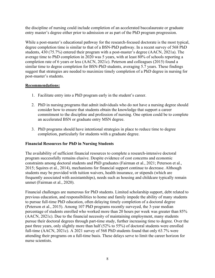the discipline of nursing could include completion of an accelerated baccalaureate or graduate entry master's degree either prior to admission or as part of the PhD program progression.

While a post-master's educational pathway for the research-focused doctorate is the most typical, degree completion time is similar to that of a BSN-PhD pathway. In a recent survey of 568 PhD students, 430 (75.7%) entered their program with a post-master's degree (AACN, 2021a). The average time to PhD completion in 2020 was 5 years, with at least 80% of schools reporting a completion rate of 6 years or less (AACN, 2021c). Peterson and colleagues (2015) found a similar time to degree completion for BSN-PhD students, averaging 5.7 years. These findings suggest that strategies are needed to maximize timely completion of a PhD degree in nursing for post-master's students.

### **Recommendations:**

- 1. Facilitate entry into a PhD program early in the student's career.
- 2. PhD in nursing programs that admit individuals who do not have a nursing degree should consider how to ensure that students obtain the knowledge that support a career commitment to the discipline and profession of nursing. One option could be to complete an accelerated BSN or graduate entry MSN degree.
- 3. PhD programs should have intentional strategies in place to reduce time to degree completion, particularly for students with a graduate degree.

## **Financial Resources for PhD in Nursing Students**

The availability of sufficient financial resources to complete a research-intensive doctoral program successfully remains elusive. Despite evidence of cost concerns and economic constraints among doctoral students and PhD graduates (Fairman et al., 2021; Peterson et al., 2015; Squires et al., 2014), mechanisms for financial support continue to decrease. Although students may be provided with tuition waivers, health insurance, or stipends (which are frequently associated with assistantships), needs such as housing and childcare typically remain unmet (Fairman et al., 2020).

Financial challenges are numerous for PhD students. Limited scholarship support, debt related to previous education, and responsibilities to home and family impede the ability of many students to pursue full-time PhD education, often delaying timely completion of a doctoral degree (Peterson et al., 2015). Among 107 PhD programs recently surveyed, the 3-year median percentage of students enrolled who worked more than 20 hours per week was greater than 85% (AACN, 2021c). Due to the financial necessity of maintaining employment, many students pursue their doctoral degrees through part-time study, further increasing time to degree. Over the past three years, only slightly more than half (52% to 55%) of doctoral students were enrolled full-time (AACN, 2021c). A 2021 survey of 568 PhD students found that only 63.7% were attending their programs on a full-time basis. These delays serve to limit the career horizon for nurse scientists.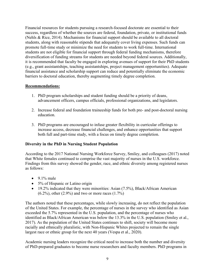Financial resources for students pursuing a research-focused doctorate are essential to their success, regardless of whether the sources are federal, foundation, private, or institutional funds (Nehls & Rice, 2014). Mechanisms for financial support should be available to all doctoral students, along with reasonable stipends that adequately cover living expenses. Such funds can promote full-time study or minimize the need for students to work full-time. International students are not eligible for financial support through federal funding mechanisms, therefore diversification of funding streams for students are needed beyond federal sources. Additionally, it is recommended that faculty be engaged in exploring avenues of support for their PhD students (e.g., grant assistantships, teaching assistantships, project management opportunities). Adequate financial assistance and scholarship support can reduce and potentially eliminate the economic barriers to doctoral education, thereby augmenting timely degree completion.

### **Recommendations:**

- 1. PhD program scholarships and student funding should be a priority of deans, advancement officers, campus officials, professional organizations, and legislators.
- 2. Increase federal and foundation traineeship funds for both pre- and post-doctoral nursing education.
- 3. PhD programs are encouraged to infuse greater flexibility in curricular offerings to increase access, decrease financial challenges, and enhance opportunities that support both full and part-time study, with a focus on timely degree completion.

### **Diversity in the PhD in Nursing Student Population**

According to the 2017 National Nursing Workforce Survey, Smiley, and colleagues (2017) noted that White females continued to comprise the vast majority of nurses in the U.S. workforce. Findings from this survey showed the gender, race, and ethnic diversity among registered nurses as follows:

- $\bullet$  9.1% male
- 5% of Hispanic or Latino origin
- 19.2% indicated that they were minorities: Asian (7.5%), Black/African American  $(6.2\%)$ , other  $(2.9\%)$  and two or more races  $(1.7\%)$

The authors noted that these percentages, while slowly increasing, do not reflect the population of the United States. For example, the percentage of nurses in the survey who identified as Asian exceeded the 5.7% represented in the U.S. population, and the percentage of nurses who identified as Black/African American was below the 13.3% in the U.S. population (Smiley et al., 2017). As the population of the United States continues to shift, society will become more racially and ethnically pluralistic, with Non-Hispanic Whites projected to remain the single largest race or ethnic group for the next 40 years (Vespa et al., 2020).

Academic nursing leaders recognize the critical need to increase both the number and diversity of PhD-prepared graduates to become nurse researchers and faculty members. PhD programs in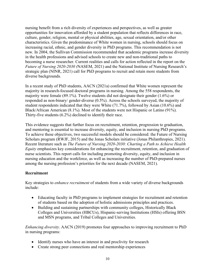nursing benefit from a rich diversity of experiences and perspectives, as well as greater opportunities for innovation afforded by a student population that reflects differences in race, culture, gender, religion, mental or physical abilities, age, sexual orientation, and/or other characteristics. Given the predominance of White women in nursing, schools should focus on increasing racial, ethnic, and gender diversity in PhD programs. This recommendation is not new. In 2004, the Sullivan Commission recommended that academic programs increase diversity in the health professions and advised schools to create new and non-traditional paths to becoming a nurse researcher. Current realities and calls for action reflected in the report on the *Future of Nursing 2020-2030 (*NASEM, 2021) and the National Institute of Nursing Research's strategic plan (NINR, 2021) call for PhD programs to recruit and retain more students from diverse backgrounds.

In a recent study of PhD students, AACN (2021a) confirmed that White women represent the majority in research-focused doctoral programs in nursing. Among the 558 respondents, the majority were female (89.1%). Twelve students did not designate their gender (1.6%) or responded as non-binary/ gender-diverse (0.5%). Across the schools surveyed, the majority of student respondents indicated that they were White (71.7%), followed by Asian (10.6%) and Black/African American (8.1%). Most of the students were not Hispanic or Latino (91%). Thirty-five students (6.2%) declined to identify their race.

This evidence suggests that further focus on recruitment, retention, progression to graduation, and mentoring is essential to increase diversity, equity, and inclusion in nursing PhD programs. To achieve these objectives, two successful models should be considered: the Future of Nursing Scholars program (RWJF, 2015) and the Jonas Scholars initiative (Jonas Philanthropies, 2021). Recent literature such as *The Future of Nursing 2020-2030: Charting a Path to Achieve Health Equity* emphasizes key considerations for enhancing the recruitment, retention, and graduation of nurse scientists. This report calls for including promoting diversity, equity, and inclusion in nursing education and the workforce, as well as increasing the number of PhD-prepared nurses among the nursing profession's priorities for the next decade (NASEM, 2021).

### **Recruitment**

Key strategies to *enhance recruitment* of students from a wide variety of diverse backgrounds include:

- Educating faculty in PhD programs to implement strategies for recruitment and retention of students based on the adoption of holistic admissions principles and practices.
- Building and sustaining partnerships with community colleges, Historically Black Colleges and Universities (HBCUs), Hispanic-serving Institutions (HSIs) offering BSN and MSN programs, and Tribal Colleges and Universities.

*Enhancing diversity*. AACN (2019) promotes four approaches to improving recruitment to PhD in nursing programs:

- Identify nurses who have an interest in and proclivity for research
- Create strong peer connections and real mentorship experiences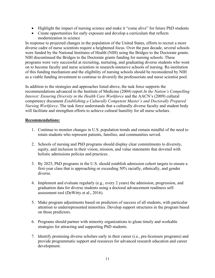- Highlight the impact of nursing science and make it "come alive" for future PhD students
- Create opportunities for early exposure and develop a curriculum that reflects modernization in science

In response to projected changes in the population of the United States, efforts to recruit a more diverse cadre of nurse scientists require a heightened focus. Over the past decade, several schools were funded by the National Institutes of Health (NIH) using the Bridges to the Doctorate grants. NIH discontinued the Bridges to the Doctorate grants funding for nursing schools. These programs were very successful at recruiting, nurturing, and graduating diverse students who went on to become faculty and nurse scientists in research-intensive schools of nursing. Re-institution of this funding mechanism and the eligibility of nursing schools should be reconsidered by NIH as a viable funding investment to continue to diversify the professoriate and nurse scientist pool.

In addition to the strategies and approaches listed above, the task force supports the recommendations advanced in the Institute of Medicine (2004) report *In the Nation's Compelling Interest: Ensuring Diversity in the Health Care Workforce* and the AACN's (2009) cultural competency document *Establishing a Culturally Competent Master's and Doctorally Prepared Nursing Workforce*. The task force understands that a culturally diverse faculty and student body will facilitate and strengthen efforts to achieve cultural humility for all nurse scholars.

### **Recommendations:**

- 1. Continue to monitor changes in U.S. population trends and remain mindful of the need to retain students who represent patients, families, and communities served.
- 2. Schools of nursing and PhD programs should display clear commitments to diversity, equity, and inclusion in their vision, mission, and value statements that dovetail with holistic admissions policies and practices.
- 3. By 2025, PhD programs in the U.S. should establish admission cohort targets to ensure a first-year class that is approaching or exceeding 50% racially, ethnically, and gender diverse.
- 4. Implement and evaluate regularly (e.g., every 2 years) the admission, progression, and graduation data for diverse students using a doctoral advancement readiness selfassessment tool (DeWitty et al., 2016).
- 5. Make program adjustments based on predictors of success of all students, with particular attention to underrepresented minorities. Develop support structures in the program based on those predictors.
- 6. Programs should partner with minority organizations to glean timely and workable strategies for attracting and supporting PhD students.
- 7. Identify promising diverse scholars early in their career (i.e., pre-licensure programs) and provide programmatic support and resources for advanced research education and career development.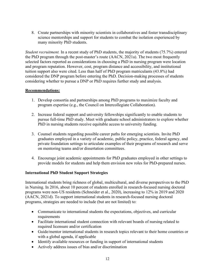8. Create partnerships with minority scientists in collaboratives and foster transdisciplinary science mentorships and support for students to combat the isolation experienced by many minority PhD students.

*Student recruitment.* In a recent study of PhD students, the majority of students (75.7%) entered the PhD program through the post-master's route (AACN, 2021a). The two most frequently selected factors reported as considerations in choosing a PhD in nursing program were location and program reputation. However, cost, program distance and accessibility, and institutional tuition support also were cited. Less than half of PhD program matriculants (43.8%) had considered the DNP program before entering the PhD. Decision-making processes of students considering whether to pursue a DNP or PhD requires further study and analysis.

### **Recommendations:**

- 1. Develop consortia and partnerships among PhD programs to maximize faculty and program expertise (e.g., the Council on Intercollegiate Collaboration).
- 2. Increase federal support and university fellowships significantly to enable students to pursue full-time PhD study. Meet with graduate school administrators to explore whether PhD in nursing students receive equitable access to university funding.
- 3. Counsel students regarding possible career paths for emerging scientists. Invite PhD graduates employed in a variety of academic, public policy, practice, federal agency, and private foundation settings to articulate examples of their programs of research and serve on mentoring teams and/or dissertation committees.
- 4. Encourage joint academic appointments for PhD graduates employed in other settings to provide models for students and help them envision new roles for PhD-prepared nurses.

### **International PhD Student Support Strategies**

International students bring richness of global, multicultural, and diverse perspectives to the PhD in Nursing. In 2016, about 10 percent of students enrolled in research-focused nursing doctoral programs were non-US residents (Schneider et al., 2020), increasing to 12% in 2019 and 2020 (AACN, 2021d). To support international students in research-focused nursing doctoral programs, strategies are needed to include (but are not limited) to:

- Communicate to international students the expectations, objectives, and curricular requirements
- Facilitate international student connection with relevant boards of nursing related to required licensure and/or certification
- Guide/mentor international students in research topics relevant to their home countries or with a global agenda, if applicable
- Identify available resources or funding in support of international students
- Actively address issues of bias and/or discrimination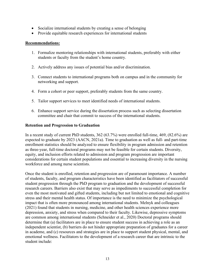- Socialize international students by creating a sense of belonging
- Provide equitable research experiences for international students

### **Recommendations:**

- 1. Formalize mentoring relationships with international students, preferably with either students or faculty from the student's home country.
- 2. Actively address any issues of potential bias and/or discrimination.
- 3. Connect students to international programs both on campus and in the community for networking and support.
- 4. Form a cohort or peer support, preferably students from the same country.
- 5. Tailor support services to meet identified needs of international students.
- 6. Enhance support service during the dissertation process such as selecting dissertation committee and chair that commit to success of the international students.

### **Retention and Progression to Graduation**

In a recent study of current PhD students, 362 (63.7%) were enrolled full-time, 469, (82.6%) are expected to graduate by 2023 (AACN, 2021a). Time to graduation as well as full- and part-time enrollment statistics should be analyzed to ensure flexibility in program admission and retention as three-year, full-time doctoral programs may not be feasible for certain students. Diversity, equity, and inclusion efforts related to admission and program progression are important considerations for certain student populations and essential to increasing diversity in the nursing workforce and among nurse scientists.

Once the student is enrolled, retention and progression are of paramount importance. A number of students, faculty, and program characteristics have been identified as facilitators of successful student progression through the PhD program to graduation and the development of successful research careers. Barriers also exist that may serve as impediments to successful completion for even the most motivated and gifted students, including but not limited to emotional and cognitive stress and their mental health status. Of importance is the need to minimize the psychological impact that is often more pronounced among international students. Melnyk and colleagues (2021) found that students in nursing, medicine, and other health sciences experience more depression, anxiety, and stress when compared to their faculty. Likewise, depressive symptoms are common among international students (Schneider et al., 2020) Doctoral programs should determine that (a) facilitators are in place to ensure student success in achieving a role as an independent scientist, (b) barriers do not hinder appropriate preparation of graduates for a career in academe, and (c) resources and strategies are in place to support student physical, mental, and emotional wellness. Facilitators to the development of a research career that are intrinsic to the student include: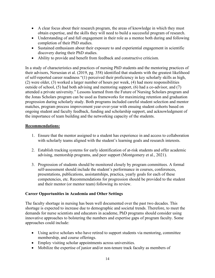- A clear focus about their research program, the areas of knowledge in which they must obtain expertise, and the skills they will need to build a successful program of research.
- Understanding of and full engagement in their role as a mentee both during and following completion of their PhD studies.
- Sustained enthusiasm about their exposure to and experiential engagement in scientific discovery during their PhD studies.
- Ability to provide and benefit from feedback and constructive criticism.

In a study of characteristics and practices of nursing PhD students and the mentoring practices of their advisors, Nersesian et al. (2019, pg. 358) identified that students with the greatest likelihood of self-reported career readiness "(1) perceived their proficiency in key scholarly skills as high, (2) were older, (3) worked a larger number of hours per week, (4) had more responsibilities outside of school, (5) had both advising and mentoring support, (6) had a co-advisor, and (7) attended a private university." Lessons learned from the Future of Nursing Scholars program and the Jonas Scholars program can be used as frameworks for maximizing retention and graduation progression during scholarly study. Both programs included careful student selection and mentor matches, program process improvement year-over-year with ensuing student cohorts based on ongoing student and faculty feedback, funding and scholarship support, and acknowledgment of the importance of team building and the networking capacity of the students.

### **Recommendations:**

- 1. Ensure that the mentor assigned to a student has experience in and access to collaboration with scholarly teams aligned with the student's learning goals and research interests.
- 2. Establish tracking systems for early identification of at-risk students and offer academic advising, mentorship programs, and peer support (Montgomery et al., 2021).
- 3. Progression of students should be monitored closely by program committees. A formal self-assessment should include the student's performance in courses, conferences, presentations, publications, assistantships, practica, yearly goals for each of these competencies, etc. Recommendations for progression should be provided to the student and their mentor (or mentor team) following its review.

### **Career Opportunities in Academia and Other Settings**

The faculty shortage in nursing has been well documented over the past two decades. This shortage is expected to increase due to demographic and societal trends. Therefore, to meet the demands for nurse scientists and educators in academe, PhD programs should consider using innovative approaches to bolstering the numbers and expertise gaps of program faculty. Some approaches could include:

- Using active scholars who have retired to support students via mentoring, committee membership, and course offerings.
- Employ visiting scholar appointments across universities.
- Mobilize the expertise of junior and/or non-tenure track faculty as members of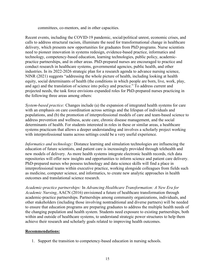committees, co-mentors, and in other capacities.

Recent events, including the COVID-19 pandemic, social/political unrest, economic crises, and calls to address structural racism, illuminate the need for transformational change in healthcare delivery, which presents new opportunities for graduates from PhD programs. Nurse scientists need to pioneer innovation in systems redesign, evidence-based practice, informatics and technology, competency-based education, learning technologies, public policy, academicpractice partnerships, and in other areas. PhD-prepared nurses are encouraged to practice and conduct research in healthcare systems, governmental agencies, public health, and other industries. In its 2022-2026 strategic plan for a research agenda to advance nursing science, NINR (2021) suggests "addressing the whole picture of health, including looking at health equity, social determinants of health (the conditions in which people are born, live, work, play, and age) and the translation of science into policy and practice." To address current and projected needs, the task force envisions expanded roles for PhD-prepared nurses practicing in the following three areas among others:

*System-based practice:* Changes include (a) the expansion of integrated health systems for care with an emphasis on care coordination across settings and the lifespan of individuals and populations, and (b) the promotion of interprofessional models of care and team-based science to address prevention and wellness, acute care, chronic disease management, and the social determinants of health. For students interested in roles in these or similar areas, a healthcare systems practicum that allows a deeper understanding and involves a scholarly project working with interprofessional teams across settings could be a very useful experience.

*Informatics and technology:* Distance learning and simulation technologies are influencing the education of future scientists, and patient care is increasingly provided through telehealth and new models of delivery. As more health systems integrate electronic health records, rich data repositories will offer new insights and opportunities to inform science and patient care delivery. PhD-prepared nurses who possess technology and data science skills will find a place in interprofessional teams within executive practice, working alongside colleagues from fields such as medicine, computer science, and informatics, to create new analytic approaches in health outcomes and translational science research.

*Academic-practice partnerships:* In *Advancing Healthcare Transformation: A New Era for Academic Nursing*, AACN (2016) envisioned a future of healthcare transformation through academic-practice partnerships. Partnerships among community organizations, individuals, and other stakeholders (including those involving nontraditional and diverse partners) will be needed to ensure that education programs are preparing graduates to address the multiple health needs of the changing population and health system. Students need exposure to existing partnerships, both within and outside of healthcare systems, to understand strategic power structures to help them achieve their research and scholarly goals related to improving health outcomes.

### **Recommendations:**

1. Support the transition to competency-based education in nursing schools.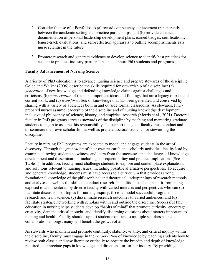- 2. Consider the use of e-Portfolios to (a) record competency achievement transparently between the academic setting and practice partnerships, and (b) provide enhanced documentation of personal leadership development plans, earned badges, certifications, tenure-track evaluations, and self-reflection appraisals to outline accomplishments as a nurse scientist in the future.
- 3. Promote research and generate evidence to develop science to identify best practices for academic-practice-industry partnerships that support PhD students and programs.

### **Faculty Advancement of Nursing Science**

A priority of PhD education is to advance nursing science and prepare stewards of the discipline. Golde and Walker (2006) describe the skills required for stewardship of a discipline: (a) *generation* of new knowledge and defending knowledge claims against challenges and criticisms, (b) *conservation* of the most important ideas and findings that are a legacy of past and current work, and (c) *transformation* of knowledge that has been generated and conserved by sharing with a variety of audiences both in and outside formal classrooms. As stewards, PhDprepared nurses assume leadership of the discipline and of nursing knowledge development inclusive of philosophy of science, history, and empirical research (Morris et al., 2021). Doctoral faculty in PhD programs serve as stewards of the discipline by teaching and mentoring graduate students to begin to assume this responsibility. To support this goal, faculty must conduct and disseminate their own scholarship as well as prepare doctoral students for stewarding the discipline.

Faculty in nursing PhD programs are expected to model and engage students in the art of discovery. Through the *generation* of their own research and scholarly activities, faculty lead by example, allowing students to witness and learn from the successes and challenges of knowledge development and dissemination, including subsequent policy and practice implications (See Table 1). In addition, faculty must challenge students to explore and contemplate explanations and solutions relevant to nursing issues, including possible alternative perspectives. To acquire and generate knowledge, students must have access to a curriculum that provides strong foundational knowledge of the philosophical and theoretical underpinnings of research methods and analyses as well as the skills to conduct research. In addition, students benefit from being exposed to and mentored by diverse faculty with varied interests and perspectives who can (a) facilitate discussions of topics for nursing inquiry, (b) role model successful programs of research and team science, (c) disseminate research outcomes to varied audiences, and (d) facilitate strategic networking with scholars within and outside the discipline. Successful PhD education in nursing helps students develop "habits of mind" that promote curiosity, encourage creativity, demand critical thought, and identify discerning questions about matters important to nursing and health. Faculty should support student exposure to multiple scholars as the collaboration amongst many will benefit the growth of all.

As stewards who maintain and promote continuity, stability, vitality, and critical inquiry within the discipline, faculty must engage in the *conservation* of knowledge by teaching students how to review both classic and new literature critically to acquire the breadth and depth of knowledge required to appreciate gaps in knowledge and directions for further inquiry. By providing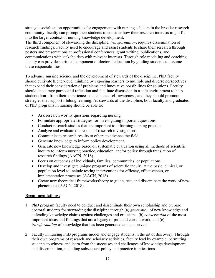strategic socialization opportunities for engagement with nursing scholars in the broader research community, faculty can prompt their students to consider how their research interests might fit into the larger context of nursing knowledge development.

The third component of stewarding the discipline, *transformation*, requires dissemination of research findings. Faculty need to encourage and assist students to share their research through posters and presentations at professional conferences, grant writing, publications, and communications with stakeholders with relevant interests. Through role modeling and coaching, faculty can provide a critical component of doctoral education by guiding students to assume these responsibilities.

To advance nursing science and the development of stewards of the discipline, PhD faculty should cultivate higher-level thinking by exposing learners to multiple and diverse perspectives that expand their consideration of problems and innovative possibilities for solutions. Faculty should encourage purposeful reflection and facilitate discussion in a safe environment to help students learn from their experiences and enhance self-awareness, and they should promote strategies that support lifelong learning. As stewards of the discipline, both faculty and graduates of PhD programs in nursing should be able to:

- Ask research worthy questions regarding nursing.
- Formulate appropriate strategies for investigating important questions.
- Conduct research studies that are important to informing nursing practice
- Analyze and evaluate the results of research investigations.
- Communicate research results to others to advance the field.
- Generate knowledge to inform policy development.
- Generate new knowledge based on systematic evaluation using all methods of scientific inquiry to inform nursing practice, education, and/or policy through translation of research findings (AACN, 2018).
- Focus on outcomes of individuals, families, communities, or populations.
- Develop and investigate unique programs of scientific inquiry at the basic, clinical, or population level to include testing interventions for efficacy, effectiveness, or implementation processes (AACN, 2018).
- Create new theoretical frameworks/theory to guide, test, and disseminate the work of new phenomena (AACN, 2018).

### **Recommendations:**

- 1. PhD program faculty need to conduct and disseminate their own scholarship and prepare doctoral students for stewarding the discipline through (a) *generation* of new knowledge and defending knowledge claims against challenges and criticisms, (b) *conservation* of the most important ideas and findings that are a legacy of past and current work, and (c) *transformation* of knowledge that has been generated and conserved.
- 2. Faculty in nursing PhD programs model and engage students in the art of discovery. Through their own programs of research and scholarly activities, faculty lead by example, permitting students to witness and learn from the successes and challenges of knowledge development and dissemination, including subsequent policy and practice implications.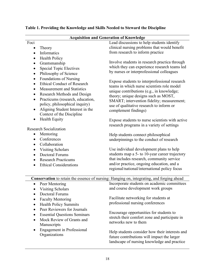| <b>Acquisition and Generation of Knowledge</b>                                            |                                     |                                                                                    |  |  |
|-------------------------------------------------------------------------------------------|-------------------------------------|------------------------------------------------------------------------------------|--|--|
| Foci                                                                                      |                                     | Lead discussions to help students identify                                         |  |  |
| $\bullet$                                                                                 | Theory                              | clinical nursing problems that would benefit                                       |  |  |
| $\bullet$                                                                                 | Informatics                         | from research to inform practice                                                   |  |  |
| $\bullet$                                                                                 | <b>Health Policy</b>                |                                                                                    |  |  |
| ٠                                                                                         | Grantsmanship                       | Involve students in research practica through                                      |  |  |
|                                                                                           | <b>Special Topic Electives</b>      | which they can experience research teams led                                       |  |  |
| $\bullet$                                                                                 | Philosophy of Science               | by nurses or interprofessional colleagues                                          |  |  |
| $\bullet$                                                                                 | Foundations of Nursing              |                                                                                    |  |  |
| $\bullet$                                                                                 | <b>Ethical Conduct of Research</b>  | Expose students to interprofessional research                                      |  |  |
| $\bullet$                                                                                 | <b>Measurement and Statistics</b>   | teams in which nurse scientists role model                                         |  |  |
| $\bullet$                                                                                 | Research Methods and Design         | unique contributions (e.g., in knowledge;                                          |  |  |
| $\bullet$                                                                                 | Practicums (research, education,    | theory; unique designs such as MOST,<br>SMART; intervention fidelity; measurement; |  |  |
|                                                                                           | policy, philosophical inquiry)      | use of qualitative research to inform or                                           |  |  |
| $\bullet$                                                                                 | Aligning Student Interest in the    | complement findings)                                                               |  |  |
|                                                                                           | Context of the Discipline           |                                                                                    |  |  |
| $\bullet$                                                                                 | <b>Health Equity</b>                | Expose students to nurse scientists with active                                    |  |  |
|                                                                                           |                                     | research programs in a variety of settings                                         |  |  |
|                                                                                           | <b>Research Socialization</b>       |                                                                                    |  |  |
| $\bullet$                                                                                 | Mentoring                           | Help students connect philosophical                                                |  |  |
| $\bullet$                                                                                 | Conferences                         | underpinnings to the conduct of research                                           |  |  |
| $\bullet$                                                                                 | Collaboration                       |                                                                                    |  |  |
| $\bullet$                                                                                 | <b>Visiting Scholars</b>            | Use individual development plans to help                                           |  |  |
| $\bullet$                                                                                 | <b>Doctoral Forums</b>              | students map a 5- to 10-year career trajectory                                     |  |  |
| $\bullet$                                                                                 | <b>Research Practicums</b>          | that includes research, community service                                          |  |  |
| $\bullet$                                                                                 | <b>Ethical Considerations</b>       | and/or practice, ongoing education, and a                                          |  |  |
|                                                                                           |                                     | regional/national/international policy focus                                       |  |  |
|                                                                                           |                                     |                                                                                    |  |  |
| Conservation to retain the essence of nursing: Hanging on, integrating, and forging ahead |                                     |                                                                                    |  |  |
| $\bullet$                                                                                 | Peer Mentoring                      | Incorporate students on academic committees                                        |  |  |
| $\bullet$                                                                                 | <b>Visiting Scholars</b>            | and course development work groups                                                 |  |  |
|                                                                                           | <b>Doctoral Forums</b>              | Facilitate networking for students at                                              |  |  |
|                                                                                           | <b>Faculty Mentoring</b>            | professional nursing conferences                                                   |  |  |
| $\bullet$                                                                                 | <b>Health Policy Summits</b>        |                                                                                    |  |  |
| $\bullet$                                                                                 | Peer Reviewers for Journals         | Encourage opportunities for students to                                            |  |  |
|                                                                                           | <b>Essential Questions Seminars</b> | stretch their comfort zone and participate in                                      |  |  |
| $\bullet$                                                                                 | Mock Review of Grants and           | networks new to them                                                               |  |  |
|                                                                                           | Manuscripts                         |                                                                                    |  |  |
| $\bullet$                                                                                 | <b>Engagement</b> in Professional   | Help students consider how their interests and                                     |  |  |
|                                                                                           | Organizations                       | future contributions will impact the larger                                        |  |  |
|                                                                                           |                                     | landscape of nursing knowledge and practice                                        |  |  |
|                                                                                           |                                     |                                                                                    |  |  |

# **Table 1. Providing the Knowledge and Skills Needed to Steward the Discipline**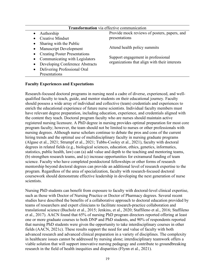| <b>Transformation</b> via effective communication |                                                                                     |  |  |
|---------------------------------------------------|-------------------------------------------------------------------------------------|--|--|
| Authorship                                        | Provide mock reviews of posters, papers, and                                        |  |  |
| <b>Creative Mindset</b>                           | presentations                                                                       |  |  |
| Sharing with the Public<br>$\bullet$              | Attend health policy summits                                                        |  |  |
| Manuscript Development<br>$\bullet$               |                                                                                     |  |  |
| <b>Creating Poster Presentations</b><br>$\bullet$ | Support engagement in professional<br>organizations that align with their interests |  |  |
| Communicating with Legislators<br>$\bullet$       |                                                                                     |  |  |
| Developing Conference Abstracts<br>$\bullet$      |                                                                                     |  |  |
| Delivering Professional Oral<br>$\bullet$         |                                                                                     |  |  |
| Presentations                                     |                                                                                     |  |  |

#### **Faculty Experiences and Expectations**

Research-focused doctoral programs in nursing need a cadre of diverse, experienced, and wellqualified faculty to teach, guide, and mentor students on their educational journey. Faculty should possess a wide array of individual and collective (team) credentials and experiences to enrich the educational experience of future nurse scientists. Individual faculty members must have relevant degree preparation, including education, experience, and credentials aligned with the content they teach. Doctoral program faculty who are nurses should maintain active registered nursing licensure. A PhD degree in nursing provides optimal preparation for most core program faculty; however, the team should not be limited to nurses or other professionals with nursing degrees. Although nurse scholars continue to debate the pros and cons of the current hiring trends and the optimal use of multidisciplinary faculty in nursing graduate programs (Algase et al., 2021; Strumpf et al., 2021; Tubbs-Cooley et al., 2021), faculty with doctoral degrees in related fields (e.g., biological sciences, education, ethics, genetics, informatics, statistics, public health, law) can (a) add value and depth to the teaching and mentoring teams, (b) strengthen research teams, and (c) increase opportunities for extramural funding of team science. Faculty who have completed postdoctoral fellowships or other forms of research mentorship beyond doctoral degrees can provide an additional level of research expertise to the program. Regardless of the area of specialization, faculty with research-focused doctoral coursework should demonstrate effective leadership in developing the next generation of nurse scientists.

Nursing PhD students can benefit from exposure to faculty with doctoral-level clinical expertise, such as those with Doctor of Nursing Practice or Doctor of Pharmacy degrees. Several recent studies have described the benefits of a collaborative approach to doctoral education provided by teams of researchers and expert clinicians to facilitate research-practice collaboration and translational science (Bucholz et al., 2015; Jenkins, et al., 2020; Staffileno et al., 2016; Staffileno et al., 2017). AACN found that 65% of nursing PhD program directors reported offering at least one or more graduate courses to both DNP and PhD students, and 90% of respondents reported that nursing PhD students were given the opportunity to take interdisciplinary courses in other fields (AACN, 2021c). These results support the need for and value of faculty with both advanced research and advanced clinical preparation in a variety of disciplines. The complexity in healthcare issues cannot be addressed by nursing alone; interdisciplinary teamwork offers a viable solution that will support innovative nursing pedagogy and contribute to groundbreaking research in the field of health inequities and disparities (Flynn et al., 2021).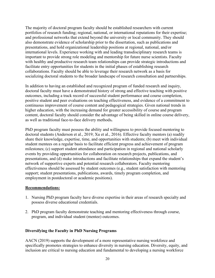The majority of doctoral program faculty should be established researchers with current portfolios of research funding; regional, national, or international reputations for their expertise; and professional networks that extend beyond the university or local community. They should also demonstrate evidence of scholarship prior to the dissertation, such as publications and presentations, and hold organizational leadership positions at regional, national, and/or international levels. Experience working with and leading transdisciplinary research teams is important to provide strong role modeling and mentorship for future nurse scientists. Faculty with healthy and productive research team relationships can provide strategic introductions and facilitate entry opportunities for students in the initial phases of establishing research collaborations. Faculty should be able to leverage their research network as a basis for socializing doctoral students to the broader landscape of research consultation and partnerships.

In addition to having an established and recognized program of funded research and inquiry, doctoral faculty must have a demonstrated history of strong and effective teaching with positive outcomes, including a track record of successful student performance and course completion, positive student and peer evaluations on teaching effectiveness, and evidence of a commitment to continuous improvement of course content and pedagogical strategies. Given national trends in higher education, with the increasing demand for greater accessibility of course and program content, doctoral faculty should consider the advantage of being skilled in online course delivery, as well as traditional face-to-face delivery methods**.** 

PhD program faculty must possess the ability and willingness to provide focused mentoring to doctoral students (Anderson et al., 2019; Xu et al., 2016). Effective faculty mentors (a) readily share their knowledge, expertise, time, and opportunities with students; (b) meet with individual student mentees on a regular basis to facilitate efficient progress and achievement of program milestones; (c) support student attendance and participation in regional and national scholarly events by providing opportunities for collaboration on research projects, publications, and presentations, and (d) make introductions and facilitate relationships that expand the student's network of supportive experts and potential research collaborators. Faculty mentoring effectiveness should be assessed by student outcomes (e.g., student satisfaction with mentoring support; student presentations, publications, awards, timely program completion, and employment in postdoctoral or academic positions).

### **Recommendations:**

- 1. Nursing PhD program faculty have diverse expertise in their areas of research specialty and possess diverse educational credentials.
- 2. PhD program faculty demonstrate teaching and mentoring effectiveness through course, program, and individual student (mentee) outcomes.

### **Diversifying the Faculty in PhD Nursing Programs**

AACN (2019) supports the development of a more representative nursing workforce and specifically promotes strategies to enhance diversity in nursing education. Diversity, equity, and inclusion are critical to nursing education and fundamental to developing a nursing workforce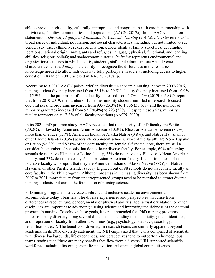able to provide high-quality, culturally appropriate, and congruent health care in partnership with individuals, families, communities, and populations (AACN, 2017a). In the AACN's position statement on *Diversity, Equity, and Inclusion in Academic Nursing* (2017a), *diversity* refers to "a broad range of individual, population, and social characteristics, including but not limited to age; gender; sex; race; ethnicity; sexual orientation; gender identity; family structures; geographic locations; national origin; immigrants and refugees; language; physical, functional, and learning abilities; religious beliefs; and socioeconomic status. *Inclusion* represents environmental and organizational cultures in which faculty, students, staff, and administrators with diverse characteristics thrive. *Equity* is the ability to recognize the differences in the resources or knowledge needed to allow individuals to fully participate in society, including access to higher education" (Kranich, 2001, as cited in AACN, 2017a, p. 1).

According to a 2017 AACN policy brief on diversity in academic nursing, between 2007-2016, nursing student diversity increased from 25.1% to 29.5%, faculty diversity increased from 10.9% to 15.9%, and the proportion of male faculty increased from 4.7% to 7% (2017b). AACN reports that from 2010-2019, the number of full-time minority students enrolled in research-focused doctoral nursing programs increased from 935 (23.3%) to 1,306 (33.6%), and the number of minority graduates increased from 93 (20.4%) to 223 (32%). Despite these gains, minority faculty represent only 17.3% of all faculty positions (AACN, 2020).

In its 2021 PhD program study, AACN revealed that the majority of PhD faculty are White (79.2%), followed by Asian and Asian-American (10.3%), Black or African American (8.2%), more than one race (1.1%), American Indian or Alaska Native (0.8%), and Native Hawaiian or other Pacific Islander (0.3%) across 94 respondent schools. Most of the faculty are Non-Hispanic or Latino (96.3%), and 87.6% of the core faculty are female. Of special note, there are still a considerable number of schools that do not have diverse faculty. For example, 60% of nursing schools do not have Hispanic or Latino faculty, 35% do not have any Black or African American faculty, and 27% do not have any Asian or Asian-American faculty. In addition, most schools do not have faculty who report that they are American Indian or Alaska Native (87%), or Native Hawaiian or other Pacific Islander (95%). Eighteen out of 98 schools do not have male faculty as core faculty in the PhD program. Although progress in increasing diversity has been shown from 2007 to 2021, more faculty from underrepresented groups need to be recruited to attract diverse nursing students and enrich the foundation of nursing science.

PhD nursing programs must create a vibrant and inclusive academic environment to accommodate today's learners. The diverse experiences and perspectives that arise from differences in race, culture, gender, mental or physical abilities, age, sexual orientation, or other disciplines are important to advancing nursing science and improving the richness of the doctoral program in nursing. To achieve these goals, it is recommended that PhD nursing programs increase faculty diversity along several dimensions, including race, ethnicity, gender identities, and proportion of faculty from other disciplines (e.g., psychology, statistics, sociology, rehabilitation, etc.). The benefits of diversity in research teams are similarly apparent beyond academia. In its 2016 diversity statement, the NIH emphasized that teams comprised of scientists with diverse backgrounds, life experiences, and perspectives tend to outperform homogenous teams, stating that "there are many benefits that flow from a diverse NIH-supported scientific workforce, including fostering scientific innovation, enhancing global competitiveness,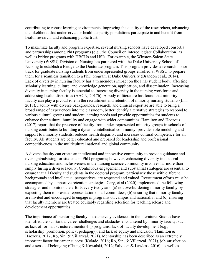contributing to robust learning environments, improving the quality of the researchers, advancing the likelihood that underserved or health disparity populations participate in and benefit from health research, and enhancing public trust."

To maximize faculty and program expertise, several nursing schools have developed consortia and partnerships among PhD programs (e.g., the Council on Intercollegiate Collaboration) as well as bridge programs with HBCUs and HSIs. For example, the Winston-Salem State University (WSSU) Division of Nursing has partnered with the Duke University School of Nursing to establish a Bridge to the Doctorate program. This program provides a research honor track for graduate nursing students from underrepresented groups enrolled at WSSU to prepare them for a seamless transition to a PhD program at Duke University (Brandon et al., 2014). Lack of diversity in nursing faculty has a tremendous impact on the PhD student body, affecting scholarly learning, culture, and knowledge generation, application, and dissemination. Increasing diversity in nursing faculty is essential to increasing diversity in the nursing workforce and addressing health disparities (AACN, 2017b). A body of literature has found that minority faculty can play a pivotal role in the recruitment and retention of minority nursing students (Lin, 2018). Faculty with diverse backgrounds, research, and clinical expertise are able to bring a broad range of experiences into the classroom, better identify alternative strategies to respond to various cultural groups and student learning needs and provide opportunities for students to enhance their cultural humility and engage with wider communities. Hamilton and Haozous (2017) report that the presence of faculty from under-represented minority groups in schools of nursing contributes to building a dynamic intellectual community, provides role modeling and support to minority students, reduces health disparity, and increases cultural competence for all faculty. All students are better educated and prepared for leadership and professional competitiveness in the multicultural national and global community.

A diverse faculty can create an intellectual and innovative community to provide guidance and oversight/advising for students in PhD programs; however, enhancing diversity in doctoral nursing education and inclusiveness in the nursing science community involves far more than simply hiring a diverse faculty. Continuous engagement and substantial strategies are essential to ensure that all faculty and students in the doctoral program, particularly those with different backgrounds and intellectual perspectives, are respected and valued. Recruitment efforts must be accompanied by supportive retention strategies. Cary, et al (2020) implemented the following strategies and monitors the efforts every two years: (a) not overburdening minority faculty by expecting them to provide representation on all committees, (b) ensuring that minority faculty are invited and encouraged to engage in programs on campus and nationally, and (c) ensuring that faculty members are treated equitably regarding selection for teaching release and development opportunities.

The importance of mentoring faculty is extensively evidenced in the literature. Studies have identified the substantial career challenges and obstacles encountered by minority faculty, such as lack of formal, structured mentorship programs, lack of faculty development (e.g., scholarship, promotion, policy, pedagogy), and lack of equity and inclusion (Hamilton  $\&$ Haozous, 2017; Ro, Sin, & Villarreal, 2021). Mentorship has been described as an extremely important factor for career success (Kolade, 2016; Ro, Sin, & Villarreal, 2021), job satisfaction and a sense of belonging (Chung & Kowalski, 2012; Salvucci & Lawless, 2016), as well as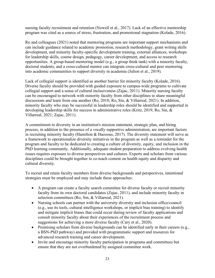nursing faculty recruitment and retention (Nowell et al., 2017). Lack of an effective mentorship program was cited as a source of stress, frustration, and promotional stagnation (Kolade, 2016).

Ro and colleagues (2021) noted that mentoring programs are important support mechanisms and can include guidance related to academic promotion, research methodology, grant writing skills development, and minority faculty-specific development training, external alliances, workshops for leadership skills, course design, pedagogy, career development, and access to research opportunities. A group-based mentoring model (e.g., a group think tank) with a minority faculty, doctoral students, and a cross-cultural mentor can integrate cross-cultural and peer mentoring into academic communities to support diversity in academia (Julion et al., 2019).

Lack of collegial support is identified as another barrier for minority faculty (Kolade, 2016). Diverse faculty should be provided with guided exposure to campus-wide programs to cultivate collegial support and a sense of cultural inclusiveness (Zajac, 2011). Minority nursing faculty can be encouraged to network with minority faculty from other disciplines to share meaningful discussions and learn from one another (Ro, 2018; Ro, Sin, & Villarreal, 2021). In addition, minority faculty who may be successful in leadership roles should be identified and supported in developing leadership skills for success in administrative roles (Kritz, 2019; Ro, Sin, & Villarreal, 2021; Zajac, 2011).

A commitment to diversity in an institution's mission statement, strategic plan, and hiring process, in addition to the presence of a vocally supportive administration, are important factors in recruiting minority faculty (Hamilton & Haozous, 2017). The diversity statement will serve as a framework to operationalize diversity initiatives in the program as well as a reminder for the program and faculty to be dedicated to creating a culture of diversity, equity, and inclusion in the PhD learning community. Additionally, adequate student preparation to address evolving health issues requires exposure to diverse perspectives and cultures. Experts and scholars from various disciplines could be brought together to co-teach content on health equity and disparity and cultural diversity.

To recruit and retain faculty members from diverse backgrounds and perspectives, intentional strategies must be employed and may include these approaches:

- A program can create a faculty search committee for diverse faculty or recruit minority faculty from its own doctoral candidates (Zajac, 2011), and include minority faculty in selection committees (Ro, Sin, & Villarreal, 2021).
- Nursing schools can partner with the university diversity and inclusion office/council (e.g., use its tools, cultural intelligence workshops, or implicit bias training) to identify and mitigate implicit biases that could occur during review of faculty applications and consult minority faculty about their experiences of the recruitment process and suggestions for achieving a more diverse faculty (Cary et al., 2020).
- Promising scholars from diverse backgrounds can be identified early in their careers (e.g., a BSN-PhD pathway) and provided with programmatic support and resources for advanced research training and career development.
- Invite and encourage minority faculty participation in programs and committees but ensure that they are not overburdened by assigned committee work.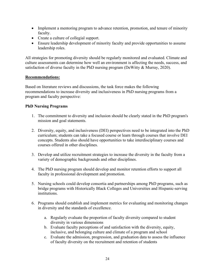- Implement a mentoring program to advance retention, promotion, and tenure of minority faculty.
- Create a culture of collegial support.
- Ensure leadership development of minority faculty and provide opportunities to assume leadership roles.

All strategies for promoting diversity should be regularly monitored and evaluated. Climate and culture assessments can determine how well an environment is affecting the needs, success, and satisfaction of diverse faculty in the PhD nursing program (DeWitty & Murray, 2020).

### **Recommendations:**

Based on literature reviews and discussions, the task force makes the following recommendations to increase diversity and inclusiveness in PhD nursing programs from a program and faculty perspective:

### **PhD Nursing Programs**

- 1. The commitment to diversity and inclusion should be clearly stated in the PhD program's mission and goal statements.
- 2. Diversity, equity, and inclusiveness (DEI) perspectives need to be integrated into the PhD curriculum; students can take a focused course or learn through courses that involve DEI concepts. Students also should have opportunities to take interdisciplinary courses and courses offered in other disciplines.
- 3. Develop and utilize recruitment strategies to increase the diversity in the faculty from a variety of demographic backgrounds and other disciplines.
- 4. The PhD nursing program should develop and monitor retention efforts to support all faculty in professional development and promotion.
- 5. Nursing schools could develop consortia and partnerships among PhD programs, such as bridge programs with Historically Black Colleges and Universities and Hispanic-serving institutions.
- 6. Programs should establish and implement metrics for evaluating and monitoring changes in diversity and the standards of excellence.
	- a. Regularly evaluate the proportion of faculty diversity compared to student diversity in various dimensions
	- b. Evaluate faculty perceptions of and satisfaction with the diversity, equity, inclusive, and belonging culture and climate of a program and school
	- c. Evaluate the admission, progression, and graduation data to assess the influence of faculty diversity on the recruitment and retention of students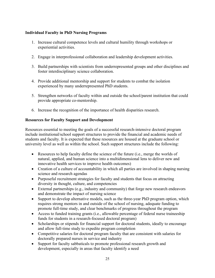### **Individual Faculty in PhD Nursing Programs**

- 1. Increase cultural competence levels and cultural humility through workshops or experiential activities.
- 2. Engage in interprofessional collaboration and leadership development activities.
- 3. Build partnerships with scientists from underrepresented groups and other disciplines and foster interdisciplinary science collaboration.
- 4. Provide additional mentorship and support for students to combat the isolation experienced by many underrepresented PhD students.
- 5. Strengthen networks of faculty within and outside the school/parent institution that could provide appropriate co-mentorship.
- 6. Increase the recognition of the importance of health disparities research.

### **Resources for Faculty Support and Development**

Resources essential to meeting the goals of a successful research-intensive doctoral program include institutional/school support structures to provide the financial and academic needs of students and faculty. It is expected that these resources are housed at the graduate school or university level as well as within the school. Such support structures include the following:

- Resources to help faculty define the science of the future (i.e., merge the worlds of natural, applied, and human science into a multidimensional lens to deliver new and innovative health services to improve health outcomes)
- Creation of a culture of accountability in which all parties are involved in shaping nursing science and research agendas
- Purposeful recruitment strategies for faculty and students that focus on attracting diversity in thought, culture, and competencies
- External partnerships (e.g., industry and community) that forge new research endeavors and demonstrate the impact of nursing science
- Support to develop alternative models, such as the three-year PhD program option, which requires strong mentors in and outside of the school of nursing, adequate funding to promote full-time study, and clear benchmarks of progress throughout the program
- Access to funded training grants (i.e., allowable percentage of federal nurse traineeship funds for students in a research-focused doctoral program)
- Scholarships or stipends for financial support for doctoral students, ideally to encourage and allow full-time study to expedite program completion
- Competitive salaries for doctoral program faculty that are consistent with salaries for doctorally prepared nurses in service and industry
- Support for faculty sabbaticals to promote professional research growth and development, especially in areas that faculty identify a need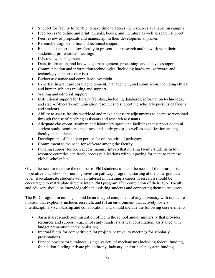- Support for faculty to be able to have time to access the resources available on campus
- Free access to online and print journals, books, and literature as well as search support
- Peer review of proposals and manuscript in their developmental phases
- Research design expertise and technical support
- Financial support to allow faculty to present their research and network with their students at professional meetings
- IRB review management
- Data, information, and knowledge management, processing, and analysis support
- Communication and information technologies (including hardware, software, and technology support expertise)
- Budget assistance and compliance oversight
- Expertise in grant proposal development, management, and submission, including ethical and human subjects training and support
- Writing and editorial support
- Institutional support for library facilities, including databases, information technology, and state-of-the-art communication resources to support the scholarly pursuits of faculty and students
- Ability to assess faculty workload and make necessary adjustments to decrease workload through the use of teaching assistants and research assistants
- Adequate classroom, seminar, and laboratory space and facilities that support doctoral student study, seminars, meetings, and study groups as well as socialization among faculty and students
- Development of faculty expertise for online, virtual pedagogy
- Commitment to the need for self-care among the faculty
- Funding support for open access manuscripts so that nursing faculty/students in low resource countries can freely access publications without paying for them to increase global scholarship

Given the need to increase the number of PhD students to meet the needs of the future, it is imperative that schools of nursing invest in pathway programs, starting at the undergraduate level. Baccalaureate students with an interest in pursuing a career in research should be encouraged to matriculate directly into a PhD program after completion of their BSN. Faculty and advisors should be knowledgeable in assisting students and connecting them to resources.

The PhD program in nursing should be an integral component of any university with (a) a core mission that explicitly includes research, and (b) an environment that actively fosters interdisciplinary scholarship and collaboration, and should include the following core elements:

- An active research administration office in the school and/or university that provides resources and support (e.g., pilot study funds, statistical consultation, assistance with budget preparation and submission)
- Internal funds for competitive pilot projects or travel to meetings for scholarly presentations
- Funded postdoctoral trainees using a variety of mechanisms including federal funding, foundation funding, private philanthropy, industry, and/or health system funding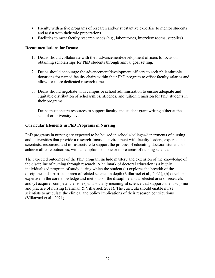- Faculty with active programs of research and/or substantive expertise to mentor students and assist with their role preparations
- Facilities to meet faculty research needs (e.g., laboratories, interview rooms, supplies)

### **Recommendations for Deans:**

- 1. Deans should collaborate with their advancement/development officers to focus on obtaining scholarships for PhD students through annual goal setting.
- 2. Deans should encourage the advancement/development officers to seek philanthropic donations for named faculty chairs within their PhD program to offset faculty salaries and allow for more dedicated research time.
- 3. Deans should negotiate with campus or school administration to ensure adequate and equitable distribution of scholarships, stipends, and tuition remission for PhD students in their programs.
- 4. Deans must ensure resources to support faculty and student grant writing either at the school or university levels.

### **Curricular Elements in PhD Programs in Nursing**

PhD programs in nursing are expected to be housed in schools/colleges/departments of nursing and universities that provide a research-focused environment with faculty leaders, experts, and scientists, resources, and infrastructure to support the process of educating doctoral students to achieve all core outcomes, with an emphasis on one or more areas of nursing science.

The expected outcomes of the PhD program include mastery and extension of the knowledge of the discipline of nursing through research. A hallmark of doctoral education is a highly individualized program of study during which the student (a) explores the breadth of the discipline and a particular area of related science in depth (Villarruel et al., 2021), (b) develops expertise in the core knowledge and methods of the discipline and a selected area of research, and (c) acquires competencies to expand socially meaningful science that supports the discipline and practice of nursing (Fairman & Villarruel, 2021). The curricula should enable nurse scientists to articulate the clinical and policy implications of their research contributions (Villarruel et al., 2021).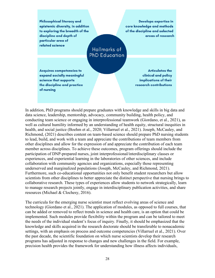Philosophical literacy and epistemic diversity, in addition to exploring the breadth of the discipline and depth of particular area of related science

**Develops expertise in** core knowledge and methods of the discipline and selected areas of research

# Hallmarks of **PhD Education**

**Acquires competencies to** expand socially meaningful science that supports the discipline and practice of nursing

**Articulates the** clinical and policy implications of their research contributions

In addition, PhD programs should prepare graduates with knowledge and skills in big data and data science, leadership, mentorship, advocacy, community building, health policy, and conducting team science or engaging in interprofessional teamwork (Giordano, et al., 2021), as well as cultural humility informed by an understanding of health equity, structural inequities in health, and social justice (Boehm et al., 2020; Villarruel et al., 2021). Joseph, McCauley, and Richmond, (2021) describes content on team-based science should prepare PhD nursing students to lead, build, and work with a team and appreciate the contributions of team members from other disciplines and allow for the expression of and appreciate the contribution of each team member across disciplines. To achieve these outcomes, program offerings should include the participation of DNP-prepared nurses, joint interprofessional/interdisciplinary classes or experiences, and experiential learning in the laboratories of other sciences, and include collaboration with community agencies and organizations, especially those representing underserved and marginalized populations (Joseph, McCauley, and Richmond, 2021). Furthermore, such co-educational opportunities not only benefit student researchers but allow scientists from other disciplines to better appreciate the distinct perspective that nursing brings to collaborative research. These types of experiences allow students to network strategically, learn to manage research projects jointly, engage in interdisciplinary publication activities, and share resources (Michael & Clochesy, 2016).

The curricula for the emerging nurse scientist must reflect evolving areas of science and technology (Giordano et al., 2021). The application of modules, as opposed to full courses, that can be added or removed to reflect trends in science and health care, is an option that could be implemented. Such modules provide flexibility within the program and can be tailored to meet the needs of the individual student's focus of inquiry. Finally, it should be emphasized that the knowledge and skills acquired in the research doctorate should be transferable to nonacademic settings, with an emphasis on process and outcome competencies (Villarruel et al., 2021). Over the past decade, the scientific foundation on which nurse scientists develop their research programs has adjusted in response to changes and new challenges in the field. For example, precision health provides the framework for understanding how illness affects individuals,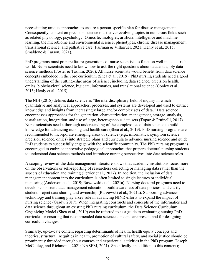necessitating unique approaches to ensure a person-specific plan for disease management. Consequently, content on precision science must cover evolving topics in numerous fields such as related physiology, psychology, Omics technologies, artificial intelligence and machine learning, the microbiome and environmental science, phenotypes, chronic disease management, translational science, and palliative care (Fairman & Villarruel, 2021; Henly et al., 2015; Smaldone & Larson, 2021).

PhD programs must prepare future generations of nurse scientists to function well in a data-rich world. Nurse scientists need to know how to ask the right questions about data and apply data science methods (Foster & Tasnim, 2020). All nurse scientists would benefit from data science concepts embedded in the core curriculum (Shea et al., 2019). PhD nursing students need a good understanding of the cutting-edge areas of science, including data science, precision health, omics, biobehavioral science, big data, informatics, and translational science (Conley et al., 2015; Henly et al., 2015).

The NIH (2018) defines data science as "the interdisciplinary field of inquiry in which quantitative and analytical approaches, processes, and systems are developed and used to extract knowledge and insights from increasingly large and/or complex sets of data." Data science encompasses approaches for the generation, characterization, management, storage, analysis, visualization, integration, and use of large, heterogeneous data sets (Topaz & Pruinelli, 2017). Nurse scientists need a thorough understanding of the complexities of data science to build knowledge for advancing nursing and health care (Shea et al., 2019). PhD nursing programs are recommended to incorporate emerging areas of science (e.g., informatics, symptom science, precision science, omics) into strategic plans and curricula to advance nursing science and guide PhD students to successfully engage with the scientific community. The PhD nursing program is encouraged to embrace innovative pedagogical approaches that prepare doctoral nursing students to understand data science methods and introduce nursing perspectives into data science roles.

A scoping review of the data management literature shows that academic institutions focus more on the observations or self-reporting of researchers collecting or managing data rather than the aspects of education and training (Perrier et al., 2017). In addition, the inclusion of data management content into the curriculum is often limited to single lectures or individual mentoring (Anderson et al., 2019; Raszewski et al., 2021a). Nursing doctoral programs need to develop consistent data management education, build awareness of data policies, and clarify student project data sharing and ownership (Raszewski et al., 2021a). Supporting advances in technology and training play a key role in advancing NINR efforts to expand the impact of nursing science (Grady, 2017). When integrating constructs and concepts of the informatics and data science throughout an existing PhD nursing curriculum, the Data Science Curriculum Organizing Model (Shea et al., 2019) can be referred to as a guide to evaluating nursing PhD curricula for ensuring that recommended data science concepts are present and for designing curriculum changes.

Similarly, up-to-date content regarding determinants of health, health equity concepts and theories, structural inequities in health, promotion of cultural safety, and social justice should be prominently threaded throughout courses and experiential activities in the PhD program (Joseph, McCauley, and Richmond, 2021; NASEM, 2021). Specifically, in addition to this content);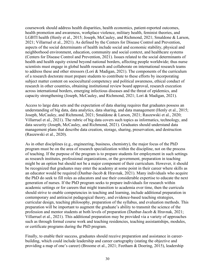coursework should address health disparities, health economics, patient-reported outcomes, health promotion and awareness, workplace violence, military health, feminist theories, and LGBTI health (Henly et al., 2015; Joseph, McCauley, and Richmond, 2021; Smaldone & Larson, 2021; Villarruel et al., 2021). As defined by the Centers for Disease Control and Prevention, aspects of the social determinants of health include social and economic stability, physical and neighborhood environment, education, community and social context, and healthcare systems (Centers for Disease Control and Prevention, 2021). Issues related to the social determinants of health and health equity extend beyond national borders, affecting people worldwide; thus nurse scientists must engage in global health research and collaborate on international research teams to address these and other stressors (Lori & Madigan, 2021). The components of the curriculum of a research doctorate must prepare students to contribute to these efforts by incorporating subject matter content on sociocultural competency and political awareness, ethical conduct of research in other countries, obtaining institutional review board approval, research execution across international borders, emerging infectious diseases and the threat of epidemics, and capacity strengthening (Joseph, McCauley, and Richmond, 2021; Lori & Madigan, 2021).

Access to large data sets and the expectation of data sharing requires that graduates possess an understanding of big data, data analytics, data sharing, and data management (Henly et al., 2015; Joseph, McCauley, and Richmond, 2021; Smaldone & Larson, 2021; Raszewski et al., 2020; Villarruel et al., 2021). The rubric of big data covers such topics as informatics, technology, and data security (Joseph, McCauley, and Richmond, 2021). Graduates should understand data management plans that describe data creation, storage, sharing, preservation, and destruction (Raszewski et al., 2020).

As in other disciplines (e.g., engineering, business, chemistry), the major focus of the PhD program must be on the area of research specialization within the discipline, not on the process of teaching. If the purpose of the program is to prepare students for employment in such settings as research institutes, professional organizations, or the government, preparation in teaching might be an option but should not be a major component of their curriculum. However, it should be recognized that graduates may enter the academy at some point in their career where skills as an educator would be required (Dunbar-Jacob & Hravnak, 2021). Many individuals who acquire the PhD do seek to fill roles as educators and use their considerable expertise to educate the next generation of nurses. If the PhD program seeks to prepare individuals for research within academic settings or for careers that might transition to academia over time, then the curricula should strive to enable competencies in teaching and learning, include additional preparation in contemporary and antiracist pedagogical theory, and evidence-based teaching strategies, curricular design, teaching philosophy, preparation of the syllabus, and evaluation methods. This preparation will be important to augment the graduate's ability to transmit the science of the profession and mentor students at both levels of preparation (Dunbar-Jacob & Hravnak, 2021; Villarruel et al., 2021). This additional preparation may be provided via a variety of approaches such as through formal course work and teaching residencies, teaching assistantships, modules, or certificate programs during the PhD program.

Finally, to enable their success, graduates should receive preparation and assistance in careerbuilding, which could include leadership and career cartography (stating the objective and providing a map of one's career) (Broome et al., 2021; Feetham & Doering, 2015), leadership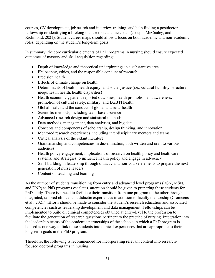courses, CV development, job search and interview training, and help finding a postdoctoral fellowship or identifying a lifelong mentor or academic coach (Joseph, McCauley, and Richmond, 2021). Student career maps should allow a focus on both academic and non-academic roles, depending on the student's long-term goals.

In summary, the core curricular elements of PhD programs in nursing should ensure expected outcomes of mastery and skill acquisition regarding:

- Depth of knowledge and theoretical underpinnings in a substantive area
- Philosophy, ethics, and the responsible conduct of research
- Precision health
- Effects of climate change on health
- Determinants of health, health equity, and social justice (i.e.. cultural humility, structural inequities in health, health disparities)
- Health economics, patient-reported outcomes, health promotion and awareness, promotion of cultural safety, military, and LGBTI health
- Global health and the conduct of global and rural health
- Scientific methods, including team-based science
- Advanced research design and statistical methods
- Data methods, management, data analytics, and big data
- Concepts and components of scholarship, design thinking, and innovation
- Mentored research experiences, including interdisciplinary mentors and teams
- Critical analysis of the extant literature
- Grantsmanship and competencies in dissemination, both written and oral, to various audiences
- Health policy engagement, implications of research on health policy and healthcare systems, and strategies to influence health policy and engage in advocacy
- Skill-building in leadership through didactic and non-course elements to prepare the next generation of nurse leaders
- Content on teaching and learning

As the number of students transitioning from entry and advanced level programs (BSN, MSN, and DNP) to PhD programs escalates, attention should be given to preparing these students for PhD study. There is a need to facilitate their transition from one program to the other through integrated, tailored clinical and didactic experiences in addition to faculty mentorship (Cromeens et al., 2021). Efforts should be made to consider the student's research education and associated competencies such as leadership development and data management. Fellowships can be implemented to build on clinical competencies obtained at entry-level to the profession to facilitate the generation of research questions pertinent to the practice of nursing. Integration into the leadership teams of the academic partnerships of the schools in which a PhD program is housed is one way to link these students into clinical experiences that are appropriate to their long-term goals in the PhD program.

Therefore, the following is recommended for incorporating relevant content into researchfocused doctoral programs in nursing.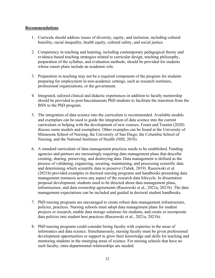### **Recommendations**

- 1. Curricula should address issues of diversity, equity, and inclusion, including cultural humility, racial inequality, health equity, cultural safety, and social justice.
- 2. Competency in teaching and learning, including contemporary pedagogical theory and evidence-based teaching strategies related to curricular design, teaching philosophy, preparation of the syllabus, and evaluation methods, should be provided for students whose career plans include an academic role.
- 3. Preparation in teaching may not be a required component of the program for students preparing for employment in non-academic settings, such as research institutes, professional organizations, or the government.
- 4. Integrated, tailored clinical and didactic experiences in addition to faculty mentorship should be provided to post-baccalaureate PhD students to facilitate the transition from the BSN to the PhD program.
- 5. The integration of data science into the curriculum is recommended. Available models and exemplars can be used to guide the integration of data science into the current curriculum or helping with the development of new courses; Foster and Tasnim (2020) discuss some models and exemplars). Other examples can be found at the University of Minnesota School of Nursing, the University of San Diego, the Columbia School of Nursing, and the National Institutes of Health (NIH, 2018).
- 6. A standard curriculum of data management practices needs to be established. Funding agencies and partners are increasingly requiring data management plans that describe creating, sharing, preserving, and destroying data. Data management is defined as the process of validating, organizing, securing, maintaining, and processing scientific data and determining which scientific data to preserve (Tabek, 2019). Raszewski et al. (2021b) provided examples in doctoral nursing programs and handbooks presenting data management instances across any aspect of the research data lifecycle. In dissertation proposal development, students need to be directed about data management plans, infrastructure, and data ownership agreements (Raszewski et al., 2021a, 2021b). The data management expectations can be included and guided in doctoral student handbooks.
- 7. PhD nursing programs are encouraged to create robust data management infrastructure, policies, practices. Nursing schools must adopt data management plans for student projects or research, enable data storage solutions for students, and create or incorporate data policies into student best practices (Raszewski et al., 2021a, 2021b).
- 8. PhD nursing programs could consider hiring faculty with expertise in the areas of informatics and data science. Simultaneously, nursing faculty must be given professional development opportunities or support to grow their knowledge and skills for teaching and mentoring students in the emerging areas of science. For nursing schools that have no such faculty, inter-departmental relationships are needed.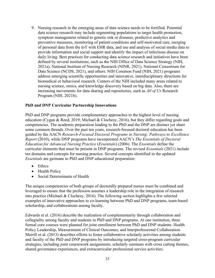9. Nursing research in the emerging areas of data science needs to be fortified. Potential data science research may include segmenting populations to target health promotion, symptom management related to genetic risk or diseases, predictive analytics and preventive measures, monitoring of patient conditions and self-motivated care, merging of personal data from the IoT with EHR data, and use and analysis of social media data to provide information and social support and identify the impact of infectious disease on daily living. Best practices for conducting data science research and initiatives have been defined by several institutions, such as the NIH Office of Data Science Strategy (NIH, 2021a), National Institute of Nursing Research (NINR, 2021), National Consortium for Data Science (NCDS, 2021), and others. NIH Common Fund (NIH, 2021) programs address emerging scientific opportunities and innovative, interdisciplinary directions for biomedical or behavioral research. Centers of the NIH included many areas related to nursing science, omics, and knowledge discovery based on big data. Also, there are increasing movements for data sharing and repositories, such as *All of Us* Research Program (NIH, 2021b).

### **PhD and DNP Curricular Partnership Innovations**

PhD and DNP programs provide complementary approaches to the highest level of nursing education (Cygan & Reed, 2019; Michael & Clochesy, 2016), but they differ regarding goals and competencies. The academic preparation leading to the PhD and the DNP are distinct yet share some common threads. Over the past ten years, research-focused doctoral education has been guided by the AACN *Research-Focused Doctoral Programs in Nursing: Pathways to Excellence Report* (2010), while DNP programs have incorporated AACN's *The Essentials of Doctoral Education for Advanced Nursing Practice* (*Essentials*) (2006). The *Essentials* define the curricular elements that must be present in DNP programs. The revised *Essentials* (2021) include ten domains and concepts for nursing practice. Several concepts identified in the updated *Essentials* are germane to PhD and DNP educational preparation:

- Ethics
- Health Policy
- Social Determinants of Health

The unique competencies of both groups of doctorally prepared nurses must be combined and leveraged to ensure that the profession assumes a leadership role in the integration of research into practice (Michael & Clochesy, 2016). The following section highlights a few selected examples of innovative approaches to co-learning between PhD and DNP programs, team-based scholarship, and collaborations among faculty.

Edwards et al. (2016) describe the realization of complementarity through collaboration and collegiality among faculty and students in PhD and DNP programs. At one institution, three formal core courses were planned for joint enrollment between PhD and DNP students: Health Policy Leadership, Measurement of Clinical Outcomes, and Interprofessional Collaboration. Merrill et al. (2013) describes efforts to foster collaborative scholarly activities among students and faculty of the PhD and DNP programs by introducing targeted cross-program curricular strategies, including joint coursework assignments, scholarly seminars with cross cutting themes, shared governance experiences, and extracurricular professional service activities.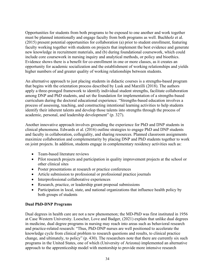Opportunities for students from both programs to be exposed to one another and work together must be planned intentionally and engage faculty from both programs as well. Buchholz et al. (2015) present potential opportunities for collaboration (a) prior to student enrollment, featuring faculty working together with students on projects that implement the best evidence and generate new knowledge in recruitment materials, and (b) during foundational coursework, which could include core coursework in nursing inquiry and analytical methods, or policy and bioethics. Evidence shows there is a benefit for co-enrollment in one or more classes, as it creates an opportunity for academic socialization and the establishment of working relationships and yields higher numbers of and greater quality of working relationships between students.

An alternative approach to just placing students in didactic courses is a strengths-based program that begins with the orientation process described by Lusk and Marzilli (2018). The authors apply a three-pronged framework to identify individual student strengths, facilitate collaboration among DNP and PhD students, and set the foundation for implementation of a strengths-based curriculum during the doctoral educational experience. "Strengths-based education involves a process of assessing, teaching, and constructing intentional learning activities to help students identify their inherent talents and develop those talents into strengths through the process of academic, personal, and leadership development" (p. 327).

Another innovative approach involves grounding the experience for PhD and DNP students in clinical phenomena. Edwards et al. (2016) outline strategies to engage PhD and DNP students and faculty in collaboration, collegiality, and sharing resources. Planned classroom assignments maximize collaboration and complementarity by placing DNP and PhD students together to work on joint projects. In addition, students engage in complementary residency activities such as:

- Team-based literature reviews
- Pilot research projects and participation in quality improvement projects at the school or other clinical sites
- Poster presentations at research or practice conferences
- Article submission to professional or professional practice journals
- Interprofessional collaborative experiences
- Research, practice, or leadership grant proposal submissions
- Participation in local, state, and national organizations that influence health policy by both groups of students

## **Dual PhD-DNP Programs**

Dual degrees in health care are not a new phenomenon; the MD-PhD was first instituted in 1956 at Case Western University. Loescher, Love and Badger, (2021) explain that unlike dual degrees in medicine, dual degree programs in nursing may reach into areas such as behavioral research and practice-related research: "Thus, PhD-DNP nurses are well positioned to accelerate the knowledge cycle from clinical problem to research questions and results, to clinical practice change, and ultimately, to policy" (p. 430). The researchers note that there are currently six such programs in the United States, one of which (University of Arizona) implemented an alternative approach to the apprenticeship model with mentorship to provide more intensive research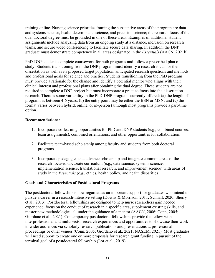training online. Nursing science priorities framing the substantive areas of the program are data and systems science, health determinants science, and precision science; the research focus of the dual doctoral degree must be grounded in one of these areas. Examples of additional student assignments include analyzing data from an ongoing study at a distance, inclusion on research teams, and secure video conferencing to facilitate secure data sharing. In addition, the DNP graduate must demonstrate competency in all areas designated in the *Essentials* (AACN, 2021b).

PhD-DNP students complete coursework for both programs and follow a prescribed plan of study. Students transitioning from the DNP program must identify a research focus for their dissertation as well as its proposed target population, anticipated research questions and methods, and professional goals for science and practice. Students transitioning from the PhD program must provide a rationale for the change and identify a potential mentor who aligns with their clinical interest and professional plans after obtaining the dual degree. These students are not required to complete a DNP project but must incorporate a practice focus into the dissertation research. There is some variability in the PhD-DNP programs currently offered: (a) the length of programs is between 4-6 years; (b) the entry point may be either the BSN or MSN; and (c) the format varies between hybrid, online, or in-person (although most programs provide a part-time option).

### **Recommendations:**

- 1. Incorporate co-learning opportunities for PhD and DNP students (e.g., combined courses, team assignments), combined orientations, and other opportunities for collaboration.
- 2. Facilitate team-based scholarship among faculty and students from both doctoral programs.
- 3. Incorporate pedagogies that advance scholarship and integrate common areas of the research-focused doctorate curriculum (e.g., data science, systems science, implementation science, translational research, and improvement science) with areas of study in the *Essentials* (e.g., ethics, health policy, and health disparities).

### **Goals and Characteristics of Postdoctoral Programs**

The postdoctoral fellowship is now regarded as an important support for graduates who intend to pursue a career in a research-intensive setting (Downs & Morrison, 2011; Schnall, 2020; Sherry et al., 2013). Postdoctoral fellowships are designed to help nurse researchers gain needed experience, focus on the conduct of research in a specific area, supplement existing skills, and master new methodologies, all under the guidance of a mentor (AACN, 2006; Conn, 2005; Giordano et al., 2021). Contemporary postdoctoral fellowships provide the fellow with interprofessional and multi sector research experiences and opportunities to showcase their work to wider audiences via scholarly research publications and presentations at professional proceedings or other venues (Conn, 2005; Giordano et al., 2021; NASEM, 2021). Most graduates will need support to create one or more proposals for research grant funding in pursuit of the terminal goal of a postdoctoral fellowship (Lor et al., 2019).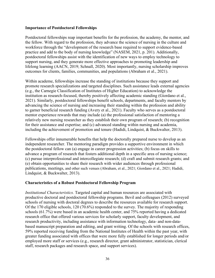### **Importance of Postdoctoral Fellowships**

Postdoctoral fellowships reap important benefits for the profession, the academy, the mentor, and the fellow. With regard to the profession, they advance the science of nursing in the culture and workforce through the "development of the research base required to support evidence-based practice and add to the body of nursing knowledge" (NASEM, 2021, p. 201). Additionally, postdoctoral fellowships assist with the identification of new ways to employ technology to support nursing, and they generate more effective approaches to promoting leadership and lifelong learning (AACN, 2019; Schnall, 2020). Most importantly, nursing scholarship improves outcomes for clients, families, communities, and populations (Abraham et al., 2021).

Within academe, fellowships increase the standing of institutions because they support and promote research specializations and targeted disciplines. Such assistance leads external agencies (e.g., the Carnegie Classification of Institutes of Higher Education) to acknowledge the institution as research-focused, thereby positively affecting academic standing (Giordano et al., 2021). Similarly, postdoctoral fellowships benefit schools, departments, and faculty mentors by advancing the science of nursing and increasing their standing within the profession and ability to garner beneficial research funding (Avery et al., 2021). Faculty who serves as a postdoctoral mentor experience rewards that may include (a) the professional satisfaction of mentoring a relatively new nursing researcher as they establish their own program of research; (b) recognition for their assistance and expertise; and (c) advanced standing within nursing and academia, including the achievement of promotion and tenure (Hadidi, Lindquist, & Buckwalter, 2013).

Fellowships offer innumerable benefits that help the doctorally prepared nurse to develop as an independent researcher. The mentoring paradigm provides a supportive environment in which the postdoctoral fellow can (a) engage in career progression activities; (b) focus on skills to advance a program of research that fosters additional depth in a specific area of nursing science; (c) pursue interprofessional and intercollegiate research; (d) craft and submit research grants; and (e) obtain opportunities to share their research with wider audiences through professional publications, meetings, and other such venues (Abraham, et al., 2021; Giordano et al., 2021; Hadidi, Lindquist, & Buckwalter, 2013).

### **Characteristics of a Robust Postdoctoral Fellowship Program**

*Institutional Characteristics.* Targeted capital and human resources are associated with productive doctoral and postdoctoral fellowship programs. Bevil and colleagues (2012) surveyed schools of nursing with doctoral degrees to describe the resources available for research support. Of the 170 eligible schools, 120 (70.6%) responded to the survey. The majority of responding schools (61.7%) were based in an academic health center, and 75% reported having a dedicated research office that offered various services for scholarly support, faculty development, and research productivity, including assistance with information technology, data- and non-databased manuscript preparation and editing, and grant writing. Of the schools with research offices, 59% reported receiving funding from the National Institutes of Health within the past year, with greater funding associated with offices that were more fully established for longer periods and/or employed more staff or services (e.g., research director, grant administrator, statistician, clerical staff, research packages and research space, and support services).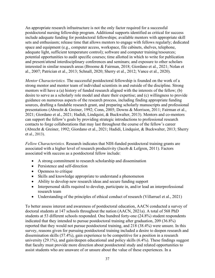An appropriate research infrastructure is not the only factor required for a successful postdoctoral nursing fellowship program. Additional supports identified as critical for success include adequate funding for postdoctoral fellowships; available mentors with appropriate skill sets and enthusiasm; release time that allows mentors to engage with fellows regularly; dedicated space and equipment (e.g., computer access, workspace, file cabinets, shelves, telephone, adequate light, sufficient temperature control); software and computer training/resources; potential opportunities to audit specific courses; time allotted in which to write for publication and present/attend interdisciplinary conferences and seminars; and exposure to other scholars interested in similar research areas (Broome & Fairman, 2018; Giordano et al., 2021; Nolan et al., 2007; Patrician et al., 2013; Schnall, 2020; Sherry et al., 2012; Vance et al., 2020).

*Mentor Characteristics.* The successful postdoctoral fellowship is founded on the work of a strong mentor and mentor team of individual scientists in and outside of the discipline. Strong mentors will have a (a) history of funded research aligned with the interests of the fellow; (b) desire to serve as a scholarly role model and share their expertise; and (c) willingness to provide guidance on numerous aspects of the research process, including finding appropriate funding sources, drafting a fundable research grant, and preparing scholarly manuscripts and professional presentations (Abrecht & Greiner, 1992; Conn, 2005; Downs & Morrison, 2011; Fairman et al., 2021; Giordano et al., 2021; Hadidi, Lindquist, & Buckwalter, 2013). Mentors and co-mentors can support the fellow's goals by providing strategic introductions to professional research contacts to forge collaborations that may last throughout the course of the fellow's career (Abrecht & Greiner, 1992; Giordano et al., 2021; Hadidi, Lindquist, & Buckwalter, 2013; Sherry et al., 2013).

*Fellow Characteristics.* Research indicates that NIH-funded postdoctoral training grants are associated with a higher level of research productivity (Jacob & Lefgren, 2011). Factors associated with success as a postdoctoral fellow include:

- A strong commitment to research scholarship and dissemination
- Persistence and self-direction
- Openness to critique
- Skills and knowledge appropriate to understand a phenomenon
- Ability to develop new research ideas and secure funding support
- Interpersonal skills required to develop, participate in, and/or lead an interprofessional research team
- Understanding of the principles of ethical conduct of research (Villarruel et al., 2021)

To better assess interest and awareness of postdoctoral education, AACN conducted a survey of doctoral students at 147 schools throughout the nation (AACN, 2021a). A total of 568 PhD students at 53 different schools responded. One hundred forty-one (24.8%) student respondents indicated that they intended to pursue postdoctoral training after graduation, 209 (36.8%) reported that they would not pursue postdoctoral training, and 218 (38.4%) were unsure. In this survey, reasons given for pursuing postdoctoral training included a desire to deepen research and dissemination skills (57.4%), gain experience to be competitive for a position in a research university (29.1%), and gain/deepen educational and policy skills (6.4%). These findings suggest that faculty must provide more direction about postdoctoral study and related opportunities to assist students who are unaware of or unsure about the value of these experiences. In a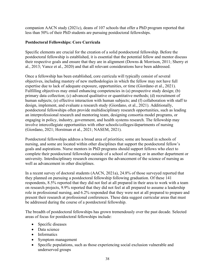companion AACN study (2021c), deans of 107 schools that offer a PhD program reported that less than 50% of their PhD students are pursuing postdoctoral fellowships.

### **Postdoctoral Fellowships: Core Curricula**

Specific elements are crucial for the creation of a solid postdoctoral fellowship. Before the postdoctoral fellowship is established, it is essential that the potential fellow and mentor discuss their respective goals and ensure that they are in alignment (Downs & Morrison, 2011; Sherry et al., 2013; Vance et al., 2020) and that all relevant considerations have been addressed.

Once a fellowship has been established, core curricula will typically consist of several objectives, including mastery of new methodologies in which the fellow may not have full expertise due to lack of adequate exposure, opportunities, or time (Giordano et al., 2021). Fulfilling objectives may entail enhancing competencies in (a) prospective study design; (b) primary data collection; (c) advanced qualitative or quantitative methods; (d) recruitment of human subjects; (e) effective interaction with human subjects; and (f) collaboration with staff to design, implement, and evaluate a research study (Giordano, et al., 2021). Additionally, postdoctoral fellowships often provide multidisciplinary research opportunities, such as leading an interprofessional research and mentoring team, designing consortia model programs, or engaging in policy, industry, government, and health systems research. The fellowship may involve intercollegiate opportunities with other schools/colleges/departments of nursing (Giordano, 2021; Horstman et al., 2021; NASEM, 2021).

Postdoctoral fellowships address a broad area of priorities; some are housed in schools of nursing, and some are located within other disciplines that support the postdoctoral fellow's goals and aspirations. Nurse mentors in PhD programs should support fellows who elect to complete their postdoctoral fellowship outside of a school of nursing or in another department or university. Interdisciplinary research encourages the advancement of the science of nursing as well as advancement in other disciplines.

In a recent survey of doctoral students (AACN, 2021a), 24.8% of those surveyed reported that they planned on pursuing a postdoctoral fellowship following graduation. Of these 141 respondents, 8.5% reported that they did not feel at all prepared in their area to work with a team on research projects, 9.9% reported that they did not feel at all prepared to assume a leadership role in professional nursing, and 6.2% responded that they were not at all prepared to prepare and present their research at professional conferences. These data suggest curricular areas that must be addressed during the course of a postdoctoral fellowship.

The breadth of postdoctoral fellowships has grown tremendously over the past decade. Selected areas of focus for postdoctoral fellowships include:

- Specific diseases
- Data science
- Informatics
- Symptom management
- Specific populations, such as those experiencing social exclusion vulnerable and underserved groups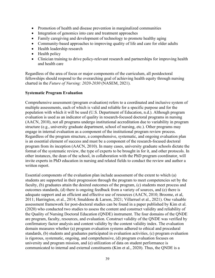- Promotion of health and disease prevention in marginalized communities
- Integration of genomics into care and treatment approaches
- Family caregiving and development of technology to promote healthy aging
- Community-based approaches to improving quality of life and care for older adults
- Health leadership research
- Health policy
- Clinician training to drive policy-relevant research and partnerships for improving health and health care

Regardless of the area of focus or major components of the curriculum, all postdoctoral fellowships should respond to the overarching goal of achieving health equity through nursing charted in the *Future of Nursing: 2020-2030* (NASEM, 2021).

### **Systematic Program Evaluation**

Comprehensive assessment (program evaluation) refers to a coordinated and inclusive system of multiple assessments, each of which is valid and reliable for a specific purpose and for the population with which it will be used (U.S. Department of Education, n.d.). Although program evaluation is used as an indicator of quality in research-focused doctoral programs in nursing (AACN, 2010), not all programs undergo institutional accreditation due to variability in program structure (e.g., university graduate department, school of nursing, etc.). Other programs may engage in internal evaluation as a component of the institutional program review process. Regardless of the program structure, a comprehensive, systematic, and ongoing evaluation plan is an essential element of success and must be a component of the research-focused doctoral program from its inception (AACN, 2010). In many cases, university graduate schools dictate the format of the systematic review, the type of experts to be brought in for it, and other protocols. In other instances, the dean of the school, in collaboration with the PhD program coordinator, will invite experts in PhD education in nursing and related fields to conduct the review and author a written report.

Essential components of the evaluation plan include assessment of the extent to which (a) students are supported in their progression through the program to meet competencies set by the faculty, (b) graduates attain the desired outcomes of the program, (c) students meet process and outcomes standards, (d) there is ongoing feedback from a variety of sources, and (e) there is adequate support and an efficient and effective use of resources (AACN, 2010; Broome, et al, 2011; Harrington, et al., 2014; Smaldone & Larson, 2021; Villarruel et al., 2021). One valuable assessment framework for post-doctoral studies can be found in a paper published by Kim et al. (2020) who conducted two studies to assess the content and construct validity and reliability of the Quality of Nursing Doctoral Education (QNDE) instrument. The four domains of the QNDE are program, faculty, resources, and evaluation. Construct validity of the QNDE was verified by confirmatory factor analysis and content validity by the content validity index. The evaluation domain measures whether (a) program evaluation systems adhered to ethical and procedural standards, (b) students and graduates participated in evaluation activities, (c) program evaluation is rigorous, systematic, ongoing, and comprehensive, (d) program evaluation focuses on university and program mission, and (e) utilization of data on student performance is communicated to internal and external constituents (Kim et al., 2020). Thus, the QNDE is a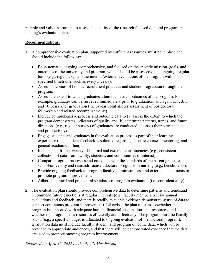reliable and valid instrument to assess the quality of the research focused doctoral program in nursing's evaluation plan.

### **Recommendations:**

- 1. A comprehensive evaluation plan, supported by sufficient resources, must be in place and should include the following:
	- Be systematic, ongoing, comprehensive, and focused on the specific mission, goals, and outcomes of the university and program, which should be assessed on an ongoing, regular basis (e.g., regular, systematic internal/external evaluations of the program within a specified timeframe, such as every 5 years).
	- Assess outcomes of holistic recruitment practices and student progression through the program.
	- Assess the extent to which graduates attain the desired outcomes of the program. For example, graduates can be surveyed immediately prior to graduation, and again at 1, 3, 5, and 10 years after graduation (the 3-year point allows assessment of postdoctoral fellowship and related accomplishments).
	- Include comprehensive process and outcome data to (a) assess the extent to which the program demonstrates indicators of quality and (b) determine patterns, trends, and future directions (e.g., regular surveys of graduates are conducted to assess their current status and productivity).
	- Engage students and graduates in the evaluation process as part of their learning experience (e.g., student feedback is solicited regarding specific courses, mentoring, and general academic milieu).
	- Include data from a variety of internal and external constituencies (e.g., consistent collection of data from faculty, students, and communities of interest).
	- Compare program processes and outcomes with the standards of the parent graduate school/university and research-focused doctoral programs in nursing (e.g., benchmarks).
	- Provide ongoing feedback to program faculty, administrators, and external constituents to promote program improvement.
	- Adhere to ethical and procedural standards of program evaluation (i.e., confidentiality).
- 2. The evaluation plan should provide comprehensive data to determine patterns and trends and recommend future directions at regular intervals (e.g., faculty members receive annual evaluations and feedback, and there is readily available evidence demonstrating use of data to support continuous program improvement). Likewise, the plan must assess whether the program is supported with adequate human, financial, and institutional resources, and whether the program uses resources efficiently and effectively. The program must be fiscally sound (e.g., a specific budget is allocated to ongoing evaluation of the doctoral program). Evaluation data must include faculty, student, and program outcome data, which will be provided to appropriate audiences, and that there will be demonstrated evidence that the data are used to promote ongoing program improvement.

*Endorsed on April 12, 2022 by the AACN Membership*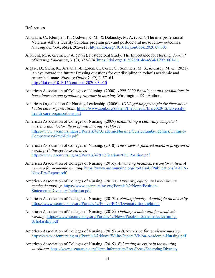### **References**

- Abraham, C., Kleinpell, R., Godwin, K. M., & Dolansky, M. A. (2021). The interprofessional Veterans Affairs Quality Scholars program pre- and postdoctoral nurse fellow outcomes. *Nursing Outlook*, *69*(2), 202–211. https://doi.org/10.1016/j.outlook.2020.09.003
- Albrecht, M. & Greiner, P.A. (1992). Postdoctoral Study: The Importance for Nursing. *Journal of Nursing Education*, 31(8), 373-374. https://doi.org/10.3928/0148-4834-19921001-11
- Algase, D., Stein, K., Arslanian-Engoren, C., Corte, C., Sommers, M. S., & Carey, M. G. (2021). An eye toward the future: Pressing questions for our discipline in today's academic and research climate. *Nursing Outlook*, *69*(1), 57–64. <http://doi.org/10.1016/j.outlook.2020.08.010>
- American Association of Colleges of Nursing. (2000). *1999-2000 Enrollment and graduations in baccalaureate and graduate programs in nursing.* Washington, DC: Author.
- American Organization for Nursing Leadership. (2006). *AONL guiding principle for diversity in health care organizations.* [https://www.aonl.org/system/files/media/file/2020/12/Diversity](http://www.aonl.org/system/files/media/file/2020/12/Diversity-health-care-)[health-care-o](http://www.aonl.org/system/files/media/file/2020/12/Diversity-health-care-)rganizations.pdf
- American Association of Colleges of Nursing. (2009) *Establishing a culturally competent master's and doctorally prepared nursing workforce*. [https://www.aacnnursing.org/Portals/42/AcademicNursing/CurriculumGuidelines/Cultural-](https://www.aacnnursing.org/Portals/42/AcademicNursing/CurriculumGuidelines/Cultural-Competency-Grad-Edu.pdf)[Competency-Grad-Edu.pdf](https://www.aacnnursing.org/Portals/42/AcademicNursing/CurriculumGuidelines/Cultural-Competency-Grad-Edu.pdf)
- American Association of Colleges of Nursing. (2010). *The research-focused doctoral program in nursing: Pathways to excellence.*  [https://www.aacnnursing.org/Portals/42/Publications/PhDPosition.pdf](http://www.aacnnursing.org/Portals/42/Publications/PhDPosition.pdf)
- American Association of Colleges of Nursing. (2016). *Advancing healthcare transformation: A new era for academic nursing.* [https://www.aacnnursing.org/Portals/42/Publications/AACN-](http://www.aacnnursing.org/Portals/42/Publications/AACN-New-Era-Report.pdf)[New-Era-Report.pdf](http://www.aacnnursing.org/Portals/42/Publications/AACN-New-Era-Report.pdf)
- American Association of Colleges of Nursing. (2017a). *Diversity, equity, and inclusion in academic nursing*. [https://www.aacnnursing.org/](http://www.aacnnursing.org/Portals/42/News/Position-)P[ortals/42/News/Position-](http://www.aacnnursing.org/Portals/42/News/Position-)Statements/Diversity-Inclusion.pdf
- American Association of Colleges of Nursing. (2017b). *Nursing faculty: A spotlight on diversity*. [https://www.aacnnursing.org/Portals/42/Policy/](http://www.aacnnursing.org/Portals/42/Policy/PDF/Diversity-Spotlight.pdf)P[DF/Diversity-Spotligh](http://www.aacnnursing.org/Portals/42/Policy/PDF/Diversity-Spotlight.pdf)t[.pdf](http://www.aacnnursing.org/Portals/42/Policy/PDF/Diversity-Spotlight.pdf)
- American Association of Colleges of Nursing. (2018). *Defining scholarship for academic nursing.* [https://www.aacnnursing.org/Portals/42/News/Position-Statements/Defining-](http://www.aacnnursing.org/Portals/42/News/Position-Statements/Defining-)Scholarship.pdf
- American Association of Colleges of Nursing. (2019). *AACN's vision for academic nursing*. <https://www.aacnnursing.org/Portals/42/News/White-Papers/Vision-Academic-Nursing.pdf>
- American Association of Colleges of Nursing. (2019). *Enhancing diversity in the nursing workforce*.<https://www.aacnnursing.org/News-Information/Fact-Sheets/Enhancing-Diversity>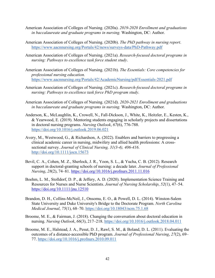- American Association of Colleges of Nursing. (2020a). *2019-2020 Enrollment and graduations in baccalaureate and graduate programs in nursing.* Washington, DC: Author.
- American Association of Colleges of Nursing. (2020b). *The PhD pathway in nursing report*. [https://www.aacnnursing.org/Portals/42/news/surveys-data/PhD-Pathway.pdf](http://www.aacnnursing.org/Portals/42/news/surveys-data/PhD-Pathway.pdf)
- American Association of Colleges of Nursing. (2021a). *Research-focused doctoral programs in nursing: Pathways to excellence task force student study*.
- American Association of Colleges of Nursing. (2021b). *The Essentials: Core competencies for professional nursing education.*  [https://www.aacnnursing.org/Portals/42/AcademicNursing/pdf/Essentials-2021.pdf](http://www.aacnnursing.org/Portals/42/AcademicNursing/pdf/Essentials-2021.pdf)
- American Association of Colleges of Nursing. (2021c). *Research-focused doctoral programs in nursing: Pathways to excellence task force PhD program study*.
- American Association of Colleges of Nursing. (2021d). *2020-2021 Enrollment and graduations in baccalaureate and graduate programs in nursing.* Washington, DC: Author.
- Anderson, K., McLaughlin, K., Crowell, N., Fall-Dickson, J., White, K., Heitzler, E., Kesten, K., & Yearwood, E. (2019). Mentoring students engaging in scholarly projects and dissertations in doctoral nursing programs. *Nursing Outlook*, *67*(6), 776-788. https://doi.org/10.1016/j.outlook.2019.06.021
- Avery, M., Westwood, G., & Richardson, A. (2022). Enablers and barriers to progressing a clinical academic career in nursing, midwifery and allied health professions: A crosssectional survey. *Journal of Clinical Nursing, 31(3-4), 406-416*. <http://doi.org/10.1111/jocn.15673>
- Bevil, C. A., Cohen, M. Z., Sherlock, J. R., Yoon, S. L., & Yucha, C. B. (2012). Research support in doctoral-granting schools of nursing: a decade later. *Journal of Professional Nursing*, *28*(2), 74– 81. https://doi.org/10.1016/j.profnurs.2011.11.016
- Boehm, L. M., Stolldorf, D. P., & Jeffery, A. D. (2020). Implementation Science Training and Resources for Nurses and Nurse Scientists. *Journal of Nursing Scholarship*, *52*(1), 47–54. https://doi.org/10.1111/jnu.12510
- Brandon, D. H., Collins-McNeil, J., Onsomu, E. O., & Powell, D. L. (2014). Winston-Salem State University and Duke University's Bridge to the Doctorate Program. *North Carolina Medical Journal*, *75*(1), 68–70. https://doi.org/10.18043/ncm.75.1.68
- Broome, M. E., & Fairman, J. (2018). Changing the conversation about doctoral education in nursing. *Nursing Outlook*, *66*(3), 217–218. https://doi.org/10.1016/j.outlook.2018.04.011
- Broome, M. E., Halstead, J. A., Pesut, D. J., Rawl, S. M., & Boland, D. L. (2011). Evaluating the outcomes of a distance-accessible PhD program. *Journal of Professional Nursing*, *27*(2), 69– 77. https://doi.org/10.1016/j.profnurs.2010.09.011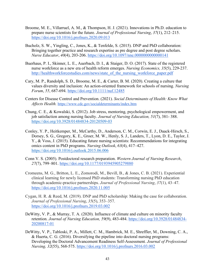- Broome, M. E., Villarruel, A. M., & Thompson, H. J. (2021). Innovations in Ph.D. education to prepare nurse scientists for the future. *Journal of Professional Nursing*, *37*(1), 212–215. https://doi.org/10.1016/j.profnurs.2020.09.013
- Bucholz, S. W., Yingling, C., Jones, K., & Tenfelde, S. (2015). DNP and PhD collaboration: Bringing together practice and research expertise as pre degree and post degree scholars. *Nurse Educator*, *40*(4), 203-206. https://doi.org/10.1097/nne.0000000000000141
- Buerhaus, P. I., Skinner, L. E., Auerbach, D. I., & Staiger, D. O. (2017). State of the registered nurse workforce as a new era of health reform emerges. *Nursing Economics, 35*(5), 229-237. [http://healthworkforcestudies.com/news/state\\_of\\_the\\_nursing\\_workforce\\_paper.pdf](http://healthworkforcestudies.com/news/state_of_the_nursing_workforce_paper.pdf)
- Cary, M. P., Randolph, S. D., Broome, M. E., & Carter, B. M. (2020). Creating a culture that values diversity and inclusion: An action-oriented framework for schools of nursing. *Nursing Forum*, *55*, 687-694. https://doi.org/10.1111/nuf.12485
- Centers for Disease Control and Prevention. (2021). *Social Determinants of Health: Know What Affects Health.* [https://www.cdc.gov/socialdeterminants/index.htm](http://www.cdc.gov/socialdeterminants/index.htm)
- Chung, C. E., & Kowalski, S. (2012). Job stress, mentoring, psychological empowerment, and job satisfaction among nursing faculty. *Journal of Nursing Education, 51*(7), 381- 388. <https://doi.org/10.3928/01484834-20120509-03>
- Conley, Y. P., Heitkemper, M., McCarthy, D., Anderson, C. M., Corwin, E. J., Daack-Hirsch, S., Dorsey, S. G., Gregory, K. E., Groer, M. W., Henly, S. J., Landers, T., Lyon, D. E., Taylor, J. Y., & Voss, J. (2015). Educating future nursing scientists: Recommendations for integrating omics content in PhD programs. *Nursing Outlook*, *63*(4), 417–427. <https://doi.org/10.1016/j.outlook.2015.06.006>
- Conn V. S. (2005). Postdoctoral research preparation. *Western Journal of Nursing Research*, *27*(7), 799–801. https://doi.org/10.1177/0193945905279880
- Cromeens, M. G., Britton, L. E., Zomorodi, M., Bevill, B., & Jones, C. B. (2021). Experiential clinical learning for newly licensed PhD students: Transforming nursing PhD education through academic-practice partnerships. *Journal of Professional Nursing*, *37*(1), 43–47. https://doi.org/10.1016/j.profnurs.2020.11.005
- Cygan, H. R. & Reed, M. (2019). DNP and PhD scholarship: Making the case for collaboration. *Journal of Professional Nursing*, *35*(5), 353–357. https://doi.org/10.1016/j.profnurs.2019.03.002
- DeWitty, V. P., & Murray, T. A. (2020). Influence of climate and culture on minority faculty retention. *Journal of Nursing Education, 59*(9), 483-484. https://doi.org/10.3928/01484834- 20200817-01
- DeWitty, V. P., Tabloski, P. A., Millett, C. M., Hambrick, M. E., Shreffler, M., Downing, C. A., & Huerta, C. G. (2016). Diversifying the pipeline into doctoral nursing programs: Developing the Doctoral Advancement Readiness Self-Assessment*. Journal of Professional Nursing, 32*(55), 568-575. https://doi.org/10.1016/j.profnurs.2016.03.002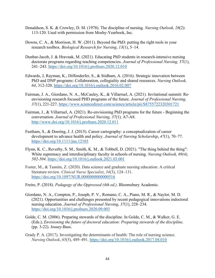- Donaldson, S. K. & Crowley, D. M. (1978). The discipline of nursing. *Nursing Outlook, 26*(2): 113-120. Used with permission from Mosby-Yearbook, Inc.
- Downs, C. A., & Morrison, H. W. (2011). Beyond the PhD: putting the right tools in your research toolbox. *Biological Research for Nursing*, *13*(1), 5–14.
- Dunbar-Jacob, J. & Hravnak, M. (2021). Educating PhD students in research-intensive nursing doctorate programs regarding teaching competencies. *Journal of Professional Nursing,* 37(1), 241–243.<https://doi.org/10.1016/j.profnurs.2020.12.010>
- Edwards, J, Rayman, K., Diffenderfer, S., & Stidham, A. (2016). Strategic innovation between PhD and DNP programs: Collaboration, collegiality and shared resources. *Nursing Outlook, 64*, 312-320. https://doi.org/10.1016/j.outlook.2016.02.007
- Fairman, J. A., Giordano, N. A., McCauley, K., & Villarruel, A. (2021). Invitational summit: Reenvisioning research focused PHD programs of the future. *Journal of Professional Nursing, 37*(1), 221-227. [https://www.sciencedirect.com/science/article/pi](http://www.sciencedirect.com/science/article/pii/S8755722320301721)i/S875[5722320301721](http://www.sciencedirect.com/science/article/pii/S8755722320301721)
- Fairman, J., & Villarruel, A. (2021). Re-envisioning PhD programs for the future Beginning the conversation. *Journal of Professional Nursing, 37*(1)*,* A7-A8. <http://www.doi.org/10.1016/j.profnurs.2020.12.011>
- Feetham, S., & Doering, J. J. (2015). Career cartography: a conceptualization of career development to advance health and policy. *Journal of Nursing Scholarship*, *47*(1), 70–77. https://doi.org/10.1111/jnu.12103
- Flynn, K. C., Reverby, S. M., Smith, K. M., & Tobbell, D. (2021). "The thing behind the thing": White supremacy and interdisciplinary faculty in schools of nursing. *Nursing Outlook, 69(4), 502-504*. https://doi.org/10.1016/j.outlook.2021.03.001
- Foster, M., & Tasnim, Z. (2020). Data science and graduate nursing education: A critical literature review. *Clinical Nurse Specialist*, *34*(3), 124–131. https://doi.org/10.1097/NUR.00000000000000516
- Freire, P. (2018). *Pedagogy of the Oppressed (4th ed.)*. Bloomsbury Academic.
- Giordano, N. A., Compton, P., Joseph, P. V., Romano, C. A., Piano, M. R., & Naylor, M. D. (2021). Opportunities and challenges presented by recent pedagogical innovations in doctoral nursing education. *Journal of Professional Nursing*, *37*(1), 228–234. https://doi.org/10.1016/j.profnurs.2020.09.003
- Golde, C. M. (2006). Preparing stewards of the discipline. In Golde, C. M., & Walker, G. E. (Eds.), *Envisioning the future of doctoral education: Preparing stewards of the discipline*. (pp. 3-22). Jossey-Bass.
- Grady P. A. (2017). Investigating the determinants of health: The role of nursing science. *Nursing Outlook*, *65*(5), 489–491.<https://doi.org/10.1016/j.outlook.2017.04.010>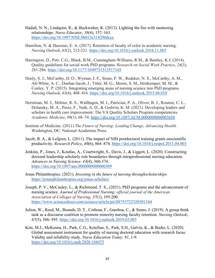- Hadidi, N. N., Lindquist, R., & Buckwalter, K. (2013). Lighting the fire with mentoring relationships. *Nurse Educator*, *38*(4), 157–163. https://doi.org/10.1097/NNE.0b013e318296dccc
- Hamilton, N. & Haozous, E. A. (2017). Retention of faculty of color in academic nursing. *Nursing Outlook*, *65*(2), 212-221.<https://doi.org/10.1016/j.outlook.2016.11.003>
- Harrington, D., Petr, C.G., Black, B.M., Cunningham-Williams, R.M., & Bentley, K.J. (2014). Quality guidelines for social work PhD programs. *Research on Social Work Practice*, *24*(3), 281-286. https://doi.org/10.1177/1049731513517145
- Henly, S. J., McCarthy, D. O., Wyman, J. F., Stone, P. W., Redeker, N. S., McCarthy, A. M., Alt-White, A. C., Dunbar-Jacob, J., Titler, M. G., Moore, S. M., Heitkemper, M. M., & Conley, Y. P. (2015). Integrating emerging areas of nursing science into PhD programs. *Nursing Outlook*, *63*(4), 408–416.<https://doi.org/10.1016/j.outlook.2015.04.010>
- Horstman, M. J., Miltner, R. S., Wallhagen, M. I., Patrician, P. A., Oliver, B. J., Roumie, C. L., Dolansky, M. A., Perez, F., Naik, A. D., & Godwin, K. M. (2021). Developing leaders and scholars in health care improvement: The VA Quality Scholars Program competencies. *Academic Medicine*, *96*(1), 68–74. https://doi.org/10.1097/ACM.0000000000003658
- Institute of Medicine. (2011) *The Future of Nursing: Leading Change, Advancing Health*. Washington, DC: National Academies Press
- Jacob, B. A., & Lefgren, L. (2011). The impact of NIH postdoctoral training grants on scientific productivity. *Research Policy*, *40*(6), 864–874. https://doi.org/10.1016/j.respol.2011.04.003
- Jenkins, P., Jones, J., Koutlas, A., Courtwright, S., Davis, J., & Liggett, L. (2020). Constructing doctoral leadership scholarly role boundaries through intraprofessional nursing education. *Advances in Nursing Science*. *43*(4), 360-374. https://doi.org/10.1097/ans.0000000000000309
- Jonas Philanthropies. (2021). *Investing in the future of nursing through scholarships.*  https://jonasphilanthropies.org/jonas-scholars/
- Joseph, P. V., McCauley, L., & Richmond, T. S., (2021). PhD programs and the advancement of nursing science. *Journal of Professional Nursing: official journal of the American Association of Colleges of Nursing, 37*(1), 195-200. [https://www.sciencedirect.com/science/article/pii/S8755722320301344](http://www.sciencedirect.com/science/article/pii/S8755722320301344)
- Julion, W., Reed, M., Bounds, D. T., Cothran, F., Gamboa, C., & Sumo, J. (2019). A group think tank as a discourse coalition to promote minority nursing faculty retention. *Nursing Outlook*, *67*(5), 586–595. https://doi.org/10.1016/j.outlook.2019.03.003
- Kim, M.J., McKenna, H., Park, C.G., Ketefian, S., Park, S.H., Galvin, K., & Burke, L. (2020). Global assessment instrument for quality of nursing doctoral education with research focus: Validity and reliability study. *Nurse Education Today, 91*, 1-9. https://doi.org/10.1016/j.nedt.2020.104475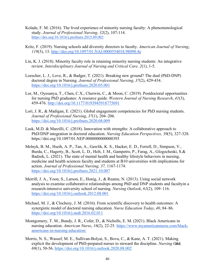- Kolade, F. M. (2016). The lived experience of minority nursing faculty: A phenomenological study. *Journal of Professional Nursing, 32*(2), 107-114. https://doi.org/10.1016/j.profnurs.2015.09.002
- Kritz, F. (2019). Nursing schools add diversity directors to faculty. *American Journal of Nursing*, *119*(3), 13.<http://doi.org/10.1097/01.NAJ.0000554018.98098.4e>
- Lin, K. J. (2018). Minority faculty role in retaining minority nursing students: An integrative review. *Interdisciplinary Journal of Nursing and Critical Care, 2*(1), 1-5.
- Loescher, L. J., Love, R., & Badger, T. (2021). Breaking new ground? The dual (PhD-DNP) doctoral degree in Nursing. *Journal of Professional Nursing*, *37*(2), 429-434. https://doi.org/10.1016/j.profnurs.2020.05.001
- Lor, M., Oyesanya, T., Chen, C.X., Cherwin, C., & Moon, C. (2019). Postdoctoral opportunities for nursing PhD graduates: A resource guide. *Western Journal of Nursing Research*, *41*(3), 459-476.<http://doi.org/10.1177/0193945918775691>
- Lori, J. R., & Madigan, E. (2021). Global engagement competencies for PhD nursing students. *Journal of Professional Nursing*, *37*(1), 204–206. https://doi.org/10.1016/j.profnurs.2020.08.009
- Lusk, M.D. & Marzilli, C. (2018). Innovation with strengths: A collaborative approach to PhD/DNP integration in doctoral education. *Nursing Education Perspectives, 39*(5), 327-328. <https://doi.org/10.1097/01.NEP.0000000000000393>
- Melnyk, B. M., Hseih, A. P., Tan, A., Gawlik, K. S., Hacker, E. D., Ferrell, D., Simpson, V., Burda, C., Hagerty, B., Scott, L. D., Holt, J. M., Gampetro, P., Farag, A., Glogocheski, S.& Badzek, L. (2021). The state of mental health and healthy lifestyle behaviors in nursing, medicine and health sciences faculty and students at B10 universities with implications for action. *Journal of Professional Nursing, 37,* 1167-1174. https://doi.org/10.1016/j.profnurs.2021.10.007
- Merrill, J. A., Yoon, S., Larson, E., Honig, J., & Reame, N. (2013). Using social network analysis to examine collaborative relationships among PhD and DNP students and facultyin a research-intensive university school of nursing. *Nursing Outlook*, *61*(2), 109–116. https://doi.org/10.1016/j.outlook.2012.08.001
- Michael, M. J., & Clochesy, J. M. (2016). From scientific discovery to health outcomes: A synergistic model of doctoral nursing education. *Nurse Education Today*, *40*, 84–86. https://doi.org/10.1016/j.nedt.2016.02.011
- Montgomery, T. M., Bundy, J. R., Cofer, D., & Nicholls, E. M. (2021). Black Americans in nursing education. *American Nurse*, *16*(2), 22-25. [https://www.myamericannurse.com/black](http://www.myamericannurse.com/black-americans-in-nursing-education/)[americans-in-nursing-education/](http://www.myamericannurse.com/black-americans-in-nursing-education/)
- Morris, N. S., Wassef, M. E., Sullivan-Bolyai, S., Bova, C., & Kane, A. T. (2021). Making explicit the development of PhD-prepared nurses to steward the discipline. *Nursing Otok 69*(1), 50-56.<https://doi.org/10.1016/j.outlook.2020.08.002>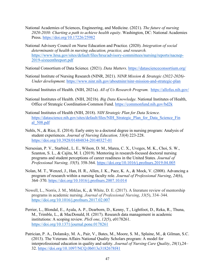- National Academies of Sciences, Engineering, and Medicine. (2021). *The future of nursing 2020-2030: Charting a path to achieve health equity*. Washington, DC: National Academies Press. https://doi.org/10.17226/25982
- National Advisory Council on Nurse Education and Practice. (2020). *Integration of social determinants of health in nursing education, practice, and research.*  [https://www.hrsa.gov/sites/default/files/hrsa/advisory-committees/nursing/reports/nacnep-](https://www.hrsa.gov/sites/default/files/hrsa/advisory-committees/nursing/reports/nacnep-2019-sixteenthreport.pdf)[2019-sixteenthreport.pdf](https://www.hrsa.gov/sites/default/files/hrsa/advisory-committees/nursing/reports/nacnep-2019-sixteenthreport.pdf)

National Consortium of Data Science. (2021). *Data Matters*. https://datascienceconsortium.org/

National Institute of Nursing Research (NINR, 2021). *NINR Mission & Strategic (2022-2026)- Under development.* [https://www.ninr.nih.gov/aboutninr/ninr-mission-and-strategic-plan](http://www.ninr.nih.gov/aboutninr/ninr-mission-and-strategic-plan)

National Institutes of Health. (NIH, 2021a). *All of Us Research Program.* https://allofus.nih.gov/

- National Institutes of Health. (NIH, 2021b). *Big Data Knowledge.* National Institutes of Health, Office of Strategic Coordination-Common Fund. https://commonfund.nih.gov/bd2k
- National Institutes of Health (NIH, 2018). *NIH Strategic Plan for Data Science.*  https://datascience.nih.gov/sites/default/files/NIH\_Strategic\_Plan\_for\_Data\_Science\_Fin al\_508.pdf
- Nehls, N., & Rice, E. (2014). Early entry to a doctoral degree in nursing program: Analysis of student experiences. *Journal of Nursing Education, 53*(4) 223-228. https://doi.org/10.3928/01484834-20140327-01
- Nersesian, P. V., Starbird., L. E., Wilson, D. M., Marea, C. X., Uveges, M. K., Choi, S. W., Szanton, S. L., & Cajita, M. I. (2019). Mentoring in research-focused doctoral nursing programs and student perceptions of career readiness in the United States*. Journal of Professional Nursing, 35*(5)*,* 358-364. https://doi.org/10.1016/j.profnurs.2019.04.005
- Nolan, M. T., Wenzel, J., Han, H. R., Allen, J. K., Paez, K. A., & Mock, V. (2008). Advancing a program of research within a nursing faculty role. *Journal of Professional Nursing*, *24*(6), 364–370. https://doi.org/10.1016/j.profnurs.2007.10.014
- Nowell, L., Norris, J. M., Mrklas, K., & White, D. E. (2017). A literature review of mentorship programs in academic nursing. *Journal of Professional Nursing*, *33*(5), 334–344. <https://doi.org/10.1016/j.profnurs.2017.02.007>
- Perrier, L., Blondal, E., Ayala, A. P., Dearborn, D., Kenny, T., Lightfoot, D., Reka, R., Thuna, M., Trimble, L., & MacDonald, H. (2017). Research data management in academic institutions: A scoping review. *PloS one*, *12*(5), e0178261. <https://doi.org/10.1371/journal.pone.0178261>
- Patrician, P. A., Dolansky, M. A., Pair, V., Bates, M., Moore, S. M., Splaine, M., & Gilman, S.C. (2013). The Veterans Affairs National Quality Scholars program: A model for interprofessional education in quality and safety. *Journal of Nursing Care Quality*, *28*(1), 24– 32. https://doi.org/10.1097/NCQ.0b013e3182678f41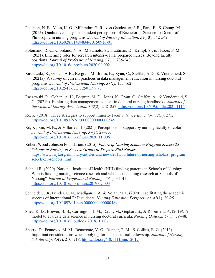- Peterson, N. E., Moss, K. O., Milbrathm G. R., von Gaudecker, J. R., Park, E., & Chung, M. (2015). Qualitative analysis of student perceptions of Bachelor of Science-to-Doctor of Philosophy in nursing programs. *Journal of Nursing Education, 54*(10)*,* 542-549. https://doi.org/10.3928/01484834-20150916-01
- Polomano, R. C., Giordano, N. A., Miyamoto, S., Trautman, D., Kempf, S., & Nuzzo, P. M. (2021). Emerging roles for research intensive PhD prepared nurses: Beyond faculty positions. *Journal of Professional Nursing, 37*(1), 235-240. https://doi.org/10.1016/j.profnurs.2020.09.002
- Raszewski, R., Goben, A.H., Bergren, M., Jones, K., Ryan, C., Steffen, A.D., & Vonderheid, S. (2021a). A survey of current practices in data management education in nursing doctoral programs. *Journal of Professional Nursing, 37(1)*, 155-162. https://doi.org/10.25417/uic.12501599.v3
- Raszewski, R., Goben, A. H., Bergren, M. D., Jones, K., Ryan, C., Steffen, A., & Vonderheid, S. C. (2021b). Exploring data management content in doctoral nursing handbooks. *Journal of the Medical Library Association, 109*(2), 248–257. https://doi.org/10.5195/jmla.2021.1115
- Ro, K. (2018). Three strategies to support minority faculty. *Nurse Educator, 43*(5), 271. https://doi.org/10.1097/NNE.0000000000000545
- Ro, K., Sin, M. K., & Villarreal, J. (2021). Perceptions of support by nursing faculty of color. *Journal of Professional Nursing*, *37*(1), 29–33. https://doi.org/10.1016/j.profnurs.2020.11.006
- Robert Wood Johnson Foundation. (2015). *Future of Nursing Scholars Program Selects 25 Schools of Nursing to Receive Grants to Prepare PhD Nurses*. [https://www.rwjf.org/en/library/articles-and-news/2015/03/future-of-nursing-scholars- program](https://www.rwjf.org/en/library/articles-and-news/2015/03/future-of-nursing-scholars-%20program-selects-25-schools.html)[selects-25-schools.html](https://www.rwjf.org/en/library/articles-and-news/2015/03/future-of-nursing-scholars-%20program-selects-25-schools.html)
- Schnall R. (2020). National Institute of Health (NIH) funding patterns in Schools of Nursing: Who is funding nursing science research and who is conducting research at Schools of Nursing? *Journal of Professional Nursing*, *36*(1), 34–41. https://doi.org/10.1016/j.profnurs.2019.07.003
- Schneider, J.K, Bender, C.M., Madigan, E.A. & Nolan, M.T. (2020). Facilitating the academic success of international PhD students. *Nursing Education Perspectives, 41*(1), 20-25. https://doi.org/10.1097/01.nep.0000000000000489
- Shea, K. D., Brewer, B. B., Carrington, J. M., Davis, M., Gephart, S., & Rosenfeld, A. (2019). A model to evaluate data science in nursing doctoral curricula. *Nursing Outlook*, 67(1), 39–48. https://doi.org/10.1016/j.outlook.2018.10.007
- Sherry, D., Fennessy, M. M., Benavente, V. G., Ruppar, T. M., & Collins, E. G. (2013). Important considerations when applying for a postdoctoral fellowship. *Journal of Nursing Scholarship*, *45*(2), 210–218. https://doi.org/10.1111/jnu.12012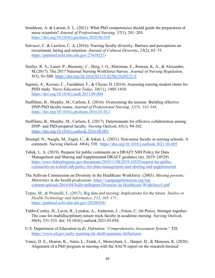- Smaldone, A. & Larson, E. L. (2021). What PhD competencies should guide the preparation of nurse scientists? *Journal of Professional Nursing, 37*(1), 201–203. https://doi.org/10.1016/j.profnurs.2020.06.010
- Salvucci, C. & Lawless, C. A. (2016). Nursing faculty diversity: Barriers and perceptions on recruitment, hiring and retention. *Journal of Cultural Diversity*, *23*(2), 65–75. https://pubmed.ncbi.nlm.nih.gov/27439233/
- Smiley, R. A., Lauer, P., Bienemy, C., Berg, J. G., Shireman, E., Reneau, K. A., & Alexander, M. (2017). The 2017 National Nursing Workforce Survey. *Journal of Nursing Regulation, 9*(3), S1-S88. https://doi.org/10.1016/S2155-8256(18)30131-5
- Squires, A., Kovner, C., Faridaben, F., & Chyun, D. (2014). Assessing nursing student intent for PHD study. *Nurse Education Today, 34*(11)*,* 1405-1410. https://doi.org/10.1016/j.nedt.2013.09.004
- Staffileno, B., Murphy, M., Carlson, E. (2016). Overcoming the tension: Building effective DNP-PhD faculty teams. *Journal of Professional Nursing, 32(5), 342-348.*  <https://doi.org/10.1016/j.profnurs.2016.01.012>
- Staffileno, B., Murphy, M., Carlson, E. (2017). Determinants for effective collaboration among DNP- and PhD-prepared faculty. *Nursing Outlook*, *65*(1), 94-102. https://doi.org/10.1016/j.outlook.2016.08.003
- Strumpf, N., Naegle, M., Fagin, C., & Aiken, L. (2021). Non-nurse faculty in nursing schools: A comment. *Nursing Outlook, 69*(4), 530. https://doi.org/10.1016/j.outlook.2021.04.005
- Tabek, L. A. (2019). Request for public comments on a DRAFT NIH Policy for Data Management and Sharing and Supplemental DRAFT guidance (no. 2019–24529). [https://www.federalregister.gov/documents/2019/11/08/2019-24529/request-for-public](http://www.federalregister.gov/documents/2019/11/08/2019-24529/request-for-public-)comments-on-a-draft-nih-policy-for-data-management-and-sharing-and-supplemental
- The Sullivan Commission on Diversity in the Healthcare Workforce. (2003). *Missing persons: Minorities in the health professions*. https://campaignforaction.org/wpcontent/uploads/2016/04/SullivanReport-Diversity-in-Healthcare-Workforce1.pdf
- Topaz, M., & Pruinelli, L. (2017). Big data and nursing: Implications for the future. *Studies in Health Technology and Informatics*, *232*, 165–171. https://pubmed.ncbi.nlm.nih.gov/28106594/
- Tubbs-Cooley, H., Lavin, R., Lyndon, A., Anderson, J…Friese, C. (In Press). Stronger together: The case for multidisciplinary tenure track faculty in academic nursing. *Nursing Outlook, 69*(4), 531-533. doi: 10.1016/j.outlook.2021.03.016.
- U.S. Department of Education (n.d). *Definition "Comprehensive Assessment System".* ED. [https://www.ed.gov/early-learning/elc-draft-summary/definitions](http://www.ed.gov/early-learning/elc-draft-summary/definitions)
- Vance, D. E., Heaton, K., Antia, L., Frank, J., Moneyham, L., Harper, D., & Meneses, K. (2020). Alignment of a PhD program in nursing with the AACN report on the research-focused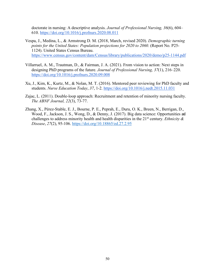doctorate in nursing: A descriptive analysis. *Journal of Professional Nursing, 36*(6), 604– 610. https://doi.org/10.1016/j.profnurs.2020.08.011

- Vespa, J., Medina, L., & Armstrong D. M. (2018, March, revised 2020). *Demographic turning points for the United States: Population projections for 2020 to 2060.* (Report No. P25-1124). United States Census Bureau. [https://www.census.gov/content/dam/Census/library/publications/2020/demo/p25-1](http://www.census.gov/content/dam/Census/library/publications/2020/demo/p25-)144.pdf
- Villarruel, A. M., Trautman, D., & Fairman, J. A. (2021). From vision to action: Next steps in designing PhD programs of the future. *Journal of Professional Nursing, 37*(1), 216–220. https://doi.org/10.1016/j.profnurs.2020.09.008
- Xu, J., Kim, K., Kurtz, M., & Nolan, M. T. (2016). Mentored peer reviewing for PhD faculty and students. *Nurse Education Today*, *37*, 1-2. https://doi.org/10.1016/j.nedt.2015.11.031
- Zajac, L. (2011). Double-loop approach: Recruitment and retention of minority nursing faculty. *The ABNF Journal, 22*(3), 73-77.
- Zhang, X., Pérez-Stable, E. J., Bourne, P. E., Peprah, E., Duru, O. K., Breen, N., Berrigan, D., Wood, F., Jackson, J. S., Wong, D., & Denny, J. (2017). Big data science: Opportunities and challenges to address minority health and health disparities in the  $21<sup>st</sup>$  century. *Ethnicity & Disease*, *27*(2), 95-106.<https://doi.org/10.18865/ed.27.2.95>